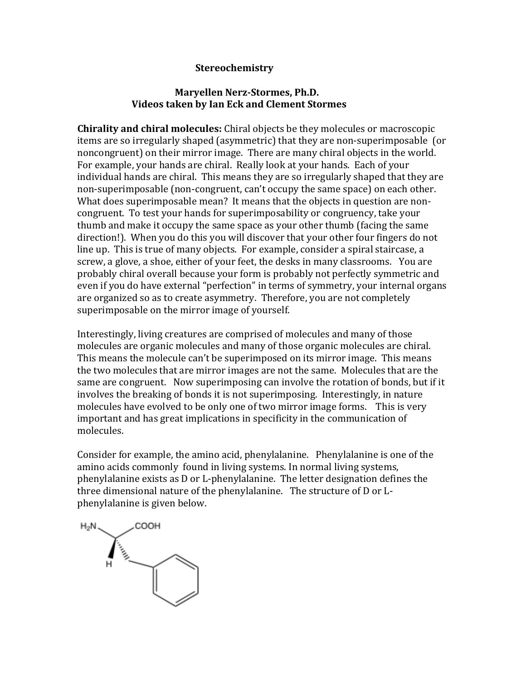# **Stereochemistry**

### **Maryellen Nerz-Stormes, Ph.D. Videos taken by Ian Eck and Clement Stormes**

**Chirality and chiral molecules:** Chiral objects be they molecules or macroscopic items are so irregularly shaped (asymmetric) that they are non-superimposable (or noncongruent) on their mirror image. There are many chiral objects in the world. For example, your hands are chiral. Really look at your hands. Each of your individual hands are chiral. This means they are so irregularly shaped that they are non-superimposable (non-congruent, can't occupy the same space) on each other. What does superimposable mean? It means that the objects in question are noncongruent. To test your hands for superimposability or congruency, take your thumb and make it occupy the same space as your other thumb (facing the same direction!). When you do this you will discover that your other four fingers do not line up. This is true of many objects. For example, consider a spiral staircase, a screw, a glove, a shoe, either of your feet, the desks in many classrooms. You are probably chiral overall because your form is probably not perfectly symmetric and even if you do have external "perfection" in terms of symmetry, your internal organs are organized so as to create asymmetry. Therefore, you are not completely superimposable on the mirror image of yourself.

Interestingly, living creatures are comprised of molecules and many of those molecules are organic molecules and many of those organic molecules are chiral. This means the molecule can't be superimposed on its mirror image. This means the two molecules that are mirror images are not the same. Molecules that are the same are congruent. Now superimposing can involve the rotation of bonds, but if it involves the breaking of bonds it is not superimposing. Interestingly, in nature molecules have evolved to be only one of two mirror image forms. This is very important and has great implications in specificity in the communication of molecules.

Consider for example, the amino acid, phenylalanine. Phenylalanine is one of the amino acids commonly found in living systems. In normal living systems, phenylalanine exists as D or L-phenylalanine. The letter designation defines the three dimensional nature of the phenylalanine. The structure of D or Lphenylalanine is given below.

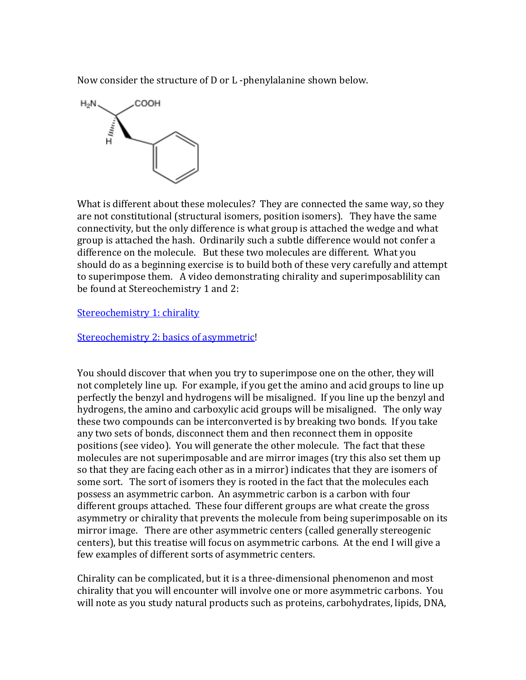Now consider the structure of D or L -phenylalanine shown below.



What is different about these molecules? They are connected the same way, so they are not constitutional (structural isomers, position isomers). They have the same connectivity, but the only difference is what group is attached the wedge and what group is attached the hash. Ordinarily such a subtle difference would not confer a difference on the molecule. But these two molecules are different. What you should do as a beginning exercise is to build both of these very carefully and attempt to superimpose them. A video demonstrating chirality and superimposablility can be found at Stereochemistry 1 and 2:

#### [Stereochemistry 1: chirality](http://www.youtube.com/watch?v=_iJQHD9UX3A)

[Stereochemistry 2: basics of asymmetric!](http://www.youtube.com/watch?v=t5kpDr5xojk&feature=player_embedded)

You should discover that when you try to superimpose one on the other, they will not completely line up. For example, if you get the amino and acid groups to line up perfectly the benzyl and hydrogens will be misaligned. If you line up the benzyl and hydrogens, the amino and carboxylic acid groups will be misaligned. The only way these two compounds can be interconverted is by breaking two bonds. If you take any two sets of bonds, disconnect them and then reconnect them in opposite positions (see video). You will generate the other molecule. The fact that these molecules are not superimposable and are mirror images (try this also set them up so that they are facing each other as in a mirror) indicates that they are isomers of some sort. The sort of isomers they is rooted in the fact that the molecules each possess an asymmetric carbon. An asymmetric carbon is a carbon with four different groups attached. These four different groups are what create the gross asymmetry or chirality that prevents the molecule from being superimposable on its mirror image. There are other asymmetric centers (called generally stereogenic centers), but this treatise will focus on asymmetric carbons. At the end I will give a few examples of different sorts of asymmetric centers.

Chirality can be complicated, but it is a three-dimensional phenomenon and most chirality that you will encounter will involve one or more asymmetric carbons. You will note as you study natural products such as proteins, carbohydrates, lipids, DNA,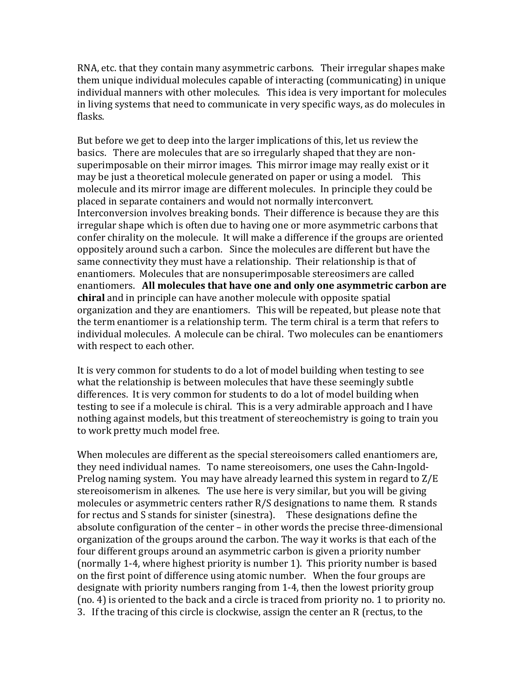RNA, etc. that they contain many asymmetric carbons. Their irregular shapes make them unique individual molecules capable of interacting (communicating) in unique individual manners with other molecules. This idea is very important for molecules in living systems that need to communicate in very specific ways, as do molecules in flasks.

But before we get to deep into the larger implications of this, let us review the basics. There are molecules that are so irregularly shaped that they are nonsuperimposable on their mirror images. This mirror image may really exist or it may be just a theoretical molecule generated on paper or using a model. This molecule and its mirror image are different molecules. In principle they could be placed in separate containers and would not normally interconvert. Interconversion involves breaking bonds. Their difference is because they are this irregular shape which is often due to having one or more asymmetric carbons that confer chirality on the molecule. It will make a difference if the groups are oriented oppositely around such a carbon. Since the molecules are different but have the same connectivity they must have a relationship. Their relationship is that of enantiomers. Molecules that are nonsuperimposable stereosimers are called enantiomers. **All molecules that have one and only one asymmetric carbon are chiral** and in principle can have another molecule with opposite spatial organization and they are enantiomers. This will be repeated, but please note that the term enantiomer is a relationship term. The term chiral is a term that refers to individual molecules. A molecule can be chiral. Two molecules can be enantiomers with respect to each other.

It is very common for students to do a lot of model building when testing to see what the relationship is between molecules that have these seemingly subtle differences. It is very common for students to do a lot of model building when testing to see if a molecule is chiral. This is a very admirable approach and I have nothing against models, but this treatment of stereochemistry is going to train you to work pretty much model free.

When molecules are different as the special stereoisomers called enantiomers are, they need individual names. To name stereoisomers, one uses the Cahn-Ingold-Prelog naming system. You may have already learned this system in regard to Z/E stereoisomerism in alkenes. The use here is very similar, but you will be giving molecules or asymmetric centers rather R/S designations to name them. R stands for rectus and S stands for sinister (sinestra). These designations define the absolute configuration of the center – in other words the precise three-dimensional organization of the groups around the carbon. The way it works is that each of the four different groups around an asymmetric carbon is given a priority number (normally 1-4, where highest priority is number 1). This priority number is based on the first point of difference using atomic number. When the four groups are designate with priority numbers ranging from 1-4, then the lowest priority group (no. 4) is oriented to the back and a circle is traced from priority no. 1 to priority no. 3. If the tracing of this circle is clockwise, assign the center an R (rectus, to the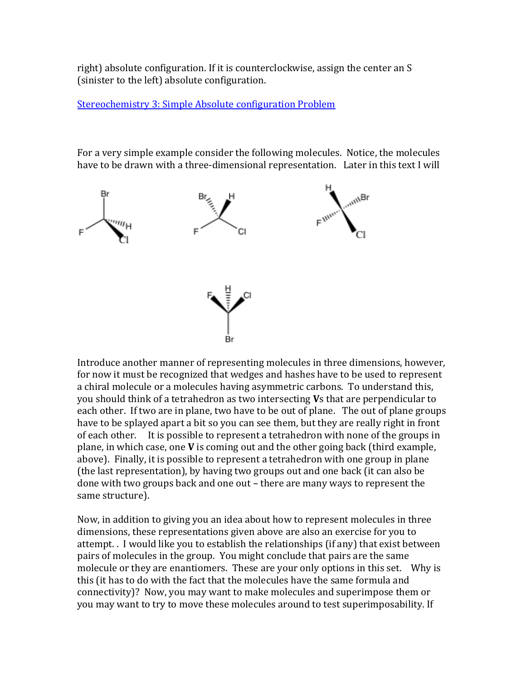right) absolute configuration. If it is counterclockwise, assign the center an S (sinister to the left) absolute configuration.

[Stereochemistry 3: Simple Absolute configuration Problem](http://www.youtube.com/watch?v=gdgvc8orBFM)

For a very simple example consider the following molecules. Notice, the molecules have to be drawn with a three-dimensional representation. Later in this text I will



Introduce another manner of representing molecules in three dimensions, however, for now it must be recognized that wedges and hashes have to be used to represent a chiral molecule or a molecules having asymmetric carbons. To understand this, you should think of a tetrahedron as two intersecting **V**s that are perpendicular to each other. If two are in plane, two have to be out of plane. The out of plane groups have to be splayed apart a bit so you can see them, but they are really right in front of each other. It is possible to represent a tetrahedron with none of the groups in plane, in which case, one **V** is coming out and the other going back (third example, above). Finally, it is possible to represent a tetrahedron with one group in plane (the last representation), by having two groups out and one back (it can also be done with two groups back and one out – there are many ways to represent the same structure).

Now, in addition to giving you an idea about how to represent molecules in three dimensions, these representations given above are also an exercise for you to attempt. . I would like you to establish the relationships (if any) that exist between pairs of molecules in the group. You might conclude that pairs are the same molecule or they are enantiomers. These are your only options in this set. Why is this (it has to do with the fact that the molecules have the same formula and connectivity)? Now, you may want to make molecules and superimpose them or you may want to try to move these molecules around to test superimposability. If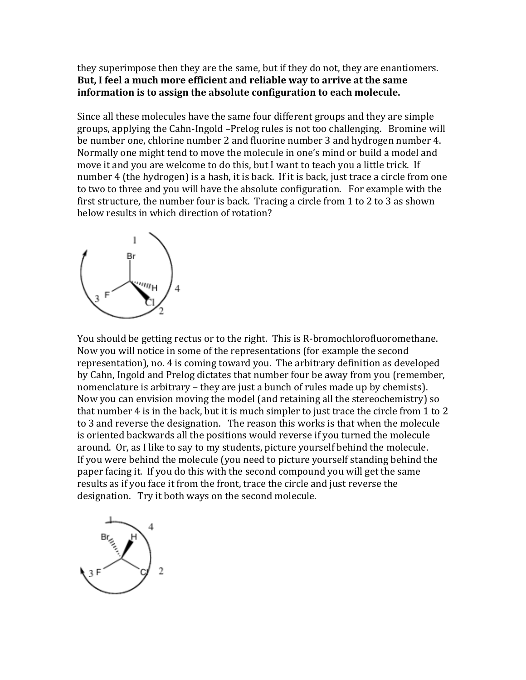they superimpose then they are the same, but if they do not, they are enantiomers. **But, I feel a much more efficient and reliable way to arrive at the same information is to assign the absolute configuration to each molecule.** 

Since all these molecules have the same four different groups and they are simple groups, applying the Cahn-Ingold –Prelog rules is not too challenging. Bromine will be number one, chlorine number 2 and fluorine number 3 and hydrogen number 4. Normally one might tend to move the molecule in one's mind or build a model and move it and you are welcome to do this, but I want to teach you a little trick. If number 4 (the hydrogen) is a hash, it is back. If it is back, just trace a circle from one to two to three and you will have the absolute configuration. For example with the first structure, the number four is back. Tracing a circle from 1 to 2 to 3 as shown below results in which direction of rotation?



You should be getting rectus or to the right. This is R-bromochlorofluoromethane. Now you will notice in some of the representations (for example the second representation), no. 4 is coming toward you. The arbitrary definition as developed by Cahn, Ingold and Prelog dictates that number four be away from you (remember, nomenclature is arbitrary – they are just a bunch of rules made up by chemists). Now you can envision moving the model (and retaining all the stereochemistry) so that number 4 is in the back, but it is much simpler to just trace the circle from 1 to 2 to 3 and reverse the designation. The reason this works is that when the molecule is oriented backwards all the positions would reverse if you turned the molecule around. Or, as I like to say to my students, picture yourself behind the molecule. If you were behind the molecule (you need to picture yourself standing behind the paper facing it. If you do this with the second compound you will get the same results as if you face it from the front, trace the circle and just reverse the designation. Try it both ways on the second molecule.

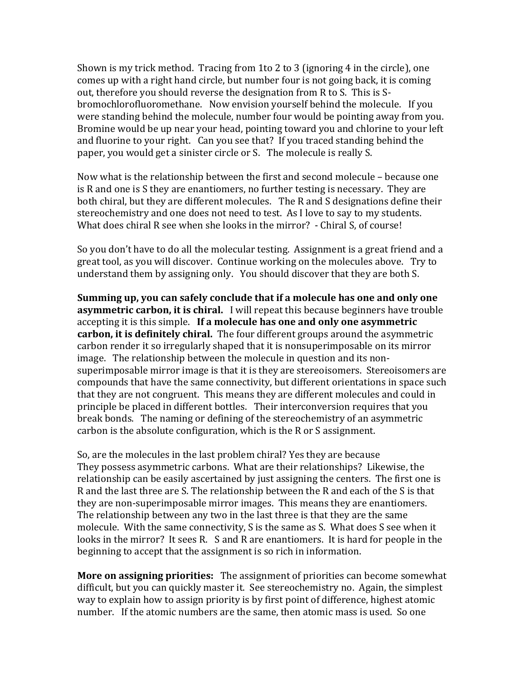Shown is my trick method. Tracing from 1to 2 to 3 (ignoring 4 in the circle), one comes up with a right hand circle, but number four is not going back, it is coming out, therefore you should reverse the designation from R to S. This is Sbromochlorofluoromethane. Now envision yourself behind the molecule. If you were standing behind the molecule, number four would be pointing away from you. Bromine would be up near your head, pointing toward you and chlorine to your left and fluorine to your right. Can you see that? If you traced standing behind the paper, you would get a sinister circle or S. The molecule is really S.

Now what is the relationship between the first and second molecule – because one is R and one is S they are enantiomers, no further testing is necessary. They are both chiral, but they are different molecules. The R and S designations define their stereochemistry and one does not need to test. As I love to say to my students. What does chiral R see when she looks in the mirror? - Chiral S, of course!

So you don't have to do all the molecular testing. Assignment is a great friend and a great tool, as you will discover. Continue working on the molecules above. Try to understand them by assigning only. You should discover that they are both S.

**Summing up, you can safely conclude that if a molecule has one and only one asymmetric carbon, it is chiral.** I will repeat this because beginners have trouble accepting it is this simple. **If a molecule has one and only one asymmetric carbon, it is definitely chiral.** The four different groups around the asymmetric carbon render it so irregularly shaped that it is nonsuperimposable on its mirror image. The relationship between the molecule in question and its nonsuperimposable mirror image is that it is they are stereoisomers. Stereoisomers are compounds that have the same connectivity, but different orientations in space such that they are not congruent. This means they are different molecules and could in principle be placed in different bottles. Their interconversion requires that you break bonds. The naming or defining of the stereochemistry of an asymmetric carbon is the absolute configuration, which is the R or S assignment.

So, are the molecules in the last problem chiral? Yes they are because They possess asymmetric carbons. What are their relationships? Likewise, the relationship can be easily ascertained by just assigning the centers. The first one is R and the last three are S. The relationship between the R and each of the S is that they are non-superimposable mirror images. This means they are enantiomers. The relationship between any two in the last three is that they are the same molecule. With the same connectivity, S is the same as S. What does S see when it looks in the mirror? It sees R. S and R are enantiomers. It is hard for people in the beginning to accept that the assignment is so rich in information.

**More on assigning priorities:** The assignment of priorities can become somewhat difficult, but you can quickly master it. See stereochemistry no. Again, the simplest way to explain how to assign priority is by first point of difference, highest atomic number. If the atomic numbers are the same, then atomic mass is used. So one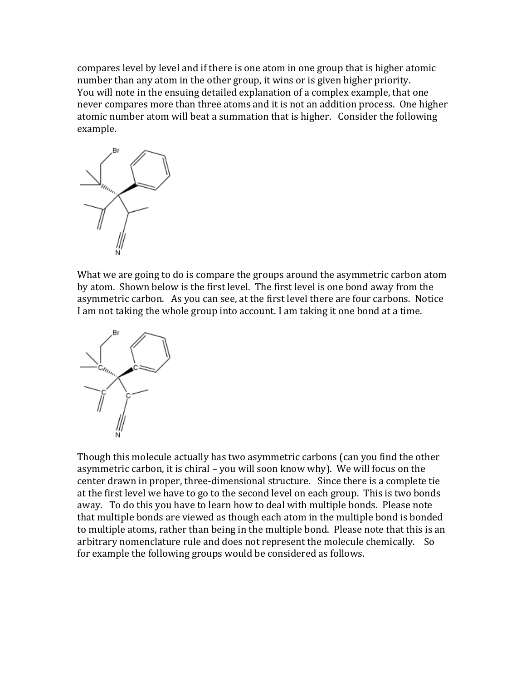compares level by level and if there is one atom in one group that is higher atomic number than any atom in the other group, it wins or is given higher priority. You will note in the ensuing detailed explanation of a complex example, that one never compares more than three atoms and it is not an addition process. One higher atomic number atom will beat a summation that is higher. Consider the following example.



What we are going to do is compare the groups around the asymmetric carbon atom by atom. Shown below is the first level. The first level is one bond away from the asymmetric carbon. As you can see, at the first level there are four carbons. Notice I am not taking the whole group into account. I am taking it one bond at a time.



Though this molecule actually has two asymmetric carbons (can you find the other asymmetric carbon, it is chiral – you will soon know why). We will focus on the center drawn in proper, three-dimensional structure. Since there is a complete tie at the first level we have to go to the second level on each group. This is two bonds away. To do this you have to learn how to deal with multiple bonds. Please note that multiple bonds are viewed as though each atom in the multiple bond is bonded to multiple atoms, rather than being in the multiple bond. Please note that this is an arbitrary nomenclature rule and does not represent the molecule chemically. So for example the following groups would be considered as follows.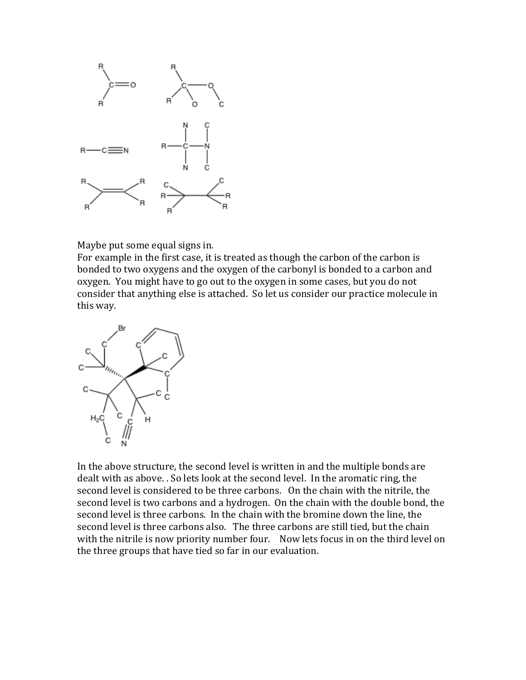

Maybe put some equal signs in.

For example in the first case, it is treated as though the carbon of the carbon is bonded to two oxygens and the oxygen of the carbonyl is bonded to a carbon and oxygen. You might have to go out to the oxygen in some cases, but you do not consider that anything else is attached. So let us consider our practice molecule in this way.



In the above structure, the second level is written in and the multiple bonds are dealt with as above. . So lets look at the second level. In the aromatic ring, the second level is considered to be three carbons. On the chain with the nitrile, the second level is two carbons and a hydrogen. On the chain with the double bond, the second level is three carbons. In the chain with the bromine down the line, the second level is three carbons also. The three carbons are still tied, but the chain with the nitrile is now priority number four. Now lets focus in on the third level on the three groups that have tied so far in our evaluation.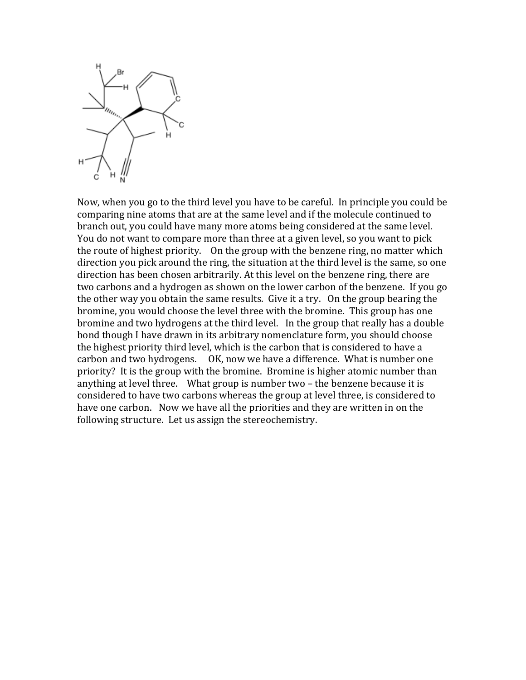

Now, when you go to the third level you have to be careful. In principle you could be comparing nine atoms that are at the same level and if the molecule continued to branch out, you could have many more atoms being considered at the same level. You do not want to compare more than three at a given level, so you want to pick the route of highest priority. On the group with the benzene ring, no matter which direction you pick around the ring, the situation at the third level is the same, so one direction has been chosen arbitrarily. At this level on the benzene ring, there are two carbons and a hydrogen as shown on the lower carbon of the benzene. If you go the other way you obtain the same results. Give it a try. On the group bearing the bromine, you would choose the level three with the bromine. This group has one bromine and two hydrogens at the third level. In the group that really has a double bond though I have drawn in its arbitrary nomenclature form, you should choose the highest priority third level, which is the carbon that is considered to have a carbon and two hydrogens. OK, now we have a difference. What is number one priority? It is the group with the bromine. Bromine is higher atomic number than anything at level three. What group is number two – the benzene because it is considered to have two carbons whereas the group at level three, is considered to have one carbon. Now we have all the priorities and they are written in on the following structure. Let us assign the stereochemistry.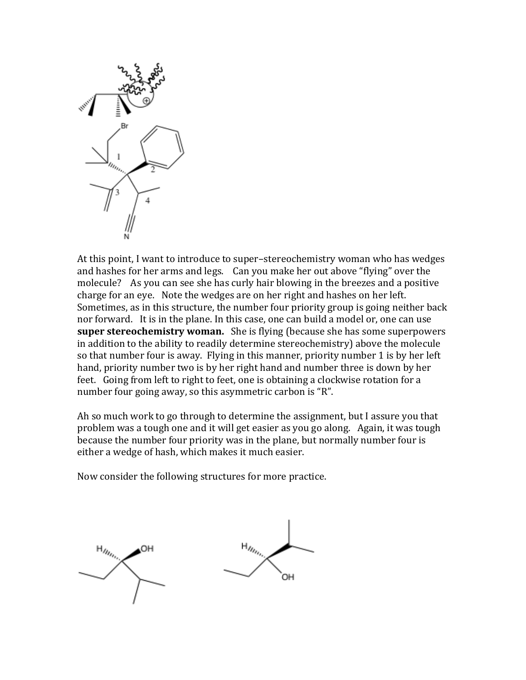

At this point, I want to introduce to super–stereochemistry woman who has wedges and hashes for her arms and legs. Can you make her out above "flying" over the molecule? As you can see she has curly hair blowing in the breezes and a positive charge for an eye. Note the wedges are on her right and hashes on her left. Sometimes, as in this structure, the number four priority group is going neither back nor forward. It is in the plane. In this case, one can build a model or, one can use **super stereochemistry woman.** She is flying (because she has some superpowers in addition to the ability to readily determine stereochemistry) above the molecule so that number four is away. Flying in this manner, priority number 1 is by her left hand, priority number two is by her right hand and number three is down by her feet. Going from left to right to feet, one is obtaining a clockwise rotation for a number four going away, so this asymmetric carbon is "R".

Ah so much work to go through to determine the assignment, but I assure you that problem was a tough one and it will get easier as you go along. Again, it was tough because the number four priority was in the plane, but normally number four is either a wedge of hash, which makes it much easier.

Now consider the following structures for more practice.

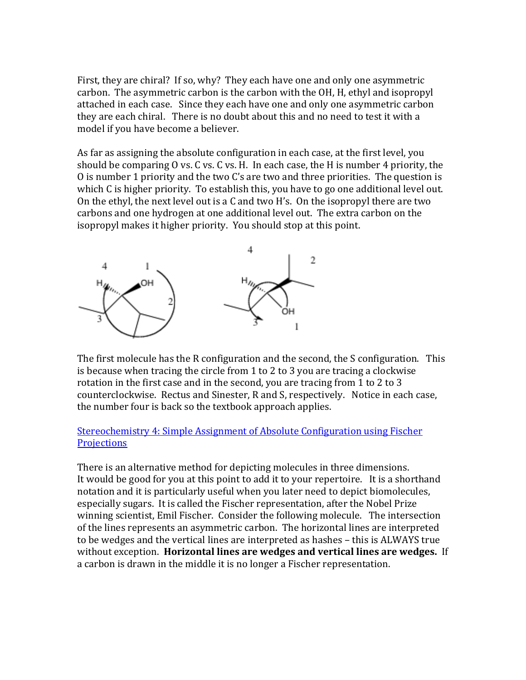First, they are chiral? If so, why? They each have one and only one asymmetric carbon. The asymmetric carbon is the carbon with the OH, H, ethyl and isopropyl attached in each case. Since they each have one and only one asymmetric carbon they are each chiral. There is no doubt about this and no need to test it with a model if you have become a believer.

As far as assigning the absolute configuration in each case, at the first level, you should be comparing O vs. C vs. C vs. H. In each case, the H is number 4 priority, the O is number 1 priority and the two C's are two and three priorities. The question is which C is higher priority. To establish this, you have to go one additional level out. On the ethyl, the next level out is a C and two H's. On the isopropyl there are two carbons and one hydrogen at one additional level out. The extra carbon on the isopropyl makes it higher priority. You should stop at this point.



The first molecule has the R configuration and the second, the S configuration. This is because when tracing the circle from 1 to 2 to 3 you are tracing a clockwise rotation in the first case and in the second, you are tracing from 1 to 2 to 3 counterclockwise. Rectus and Sinester, R and S, respectively. Notice in each case, the number four is back so the textbook approach applies.

#### [Stereochemistry 4: Simple Assignment of Absolute Configuration using Fischer](http://www.youtube.com/watch?v=nt2moQsoEQg&feature=related)  **[Projections](http://www.youtube.com/watch?v=nt2moQsoEQg&feature=related)**

There is an alternative method for depicting molecules in three dimensions. It would be good for you at this point to add it to your repertoire. It is a shorthand notation and it is particularly useful when you later need to depict biomolecules, especially sugars. It is called the Fischer representation, after the Nobel Prize winning scientist, Emil Fischer. Consider the following molecule. The intersection of the lines represents an asymmetric carbon. The horizontal lines are interpreted to be wedges and the vertical lines are interpreted as hashes – this is ALWAYS true without exception. **Horizontal lines are wedges and vertical lines are wedges.** If a carbon is drawn in the middle it is no longer a Fischer representation.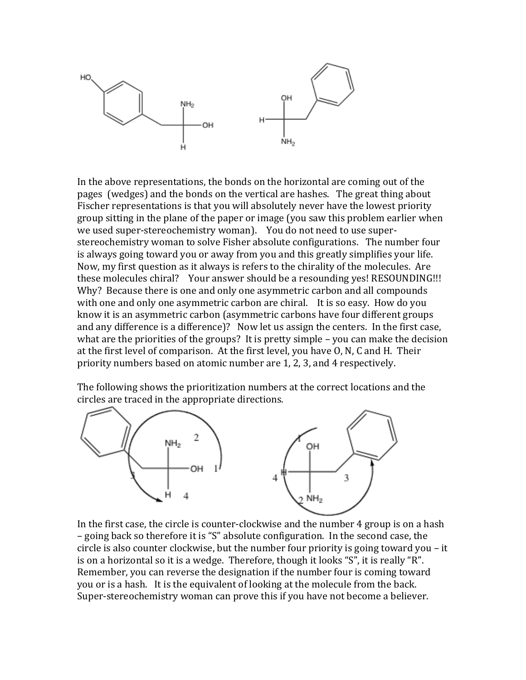

In the above representations, the bonds on the horizontal are coming out of the pages (wedges) and the bonds on the vertical are hashes. The great thing about Fischer representations is that you will absolutely never have the lowest priority group sitting in the plane of the paper or image (you saw this problem earlier when we used super-stereochemistry woman). You do not need to use superstereochemistry woman to solve Fisher absolute configurations. The number four is always going toward you or away from you and this greatly simplifies your life. Now, my first question as it always is refers to the chirality of the molecules. Are these molecules chiral? Your answer should be a resounding yes! RESOUNDING!!! Why? Because there is one and only one asymmetric carbon and all compounds with one and only one asymmetric carbon are chiral. It is so easy. How do you know it is an asymmetric carbon (asymmetric carbons have four different groups and any difference is a difference)? Now let us assign the centers. In the first case, what are the priorities of the groups? It is pretty simple – you can make the decision at the first level of comparison. At the first level, you have O, N, C and H. Their priority numbers based on atomic number are 1, 2, 3, and 4 respectively.

The following shows the prioritization numbers at the correct locations and the circles are traced in the appropriate directions.



In the first case, the circle is counter-clockwise and the number 4 group is on a hash – going back so therefore it is "S" absolute configuration. In the second case, the circle is also counter clockwise, but the number four priority is going toward you – it is on a horizontal so it is a wedge. Therefore, though it looks "S", it is really "R". Remember, you can reverse the designation if the number four is coming toward you or is a hash. It is the equivalent of looking at the molecule from the back. Super-stereochemistry woman can prove this if you have not become a believer.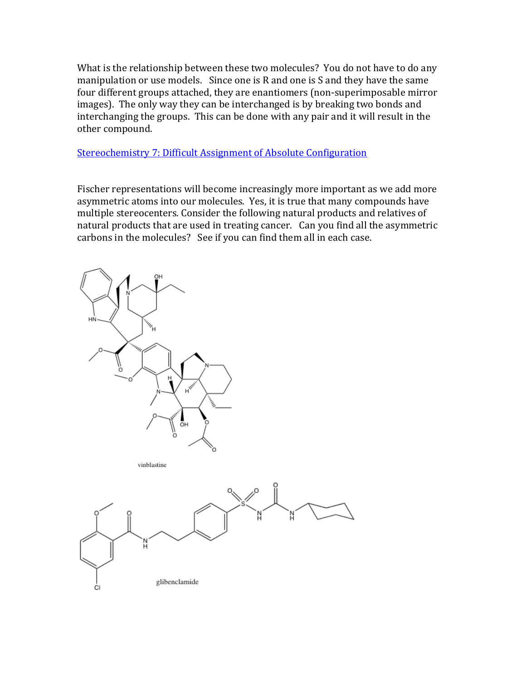What is the relationship between these two molecules? You do not have to do any manipulation or use models. Since one is R and one is S and they have the same four different groups attached, they are enantiomers (non-superimposable mirror images). The only way they can be interchanged is by breaking two bonds and interchanging the groups. This can be done with any pair and it will result in the other compound.

[Stereochemistry 7: Difficult Assignment of Absolute Configuration](http://www.youtube.com/watch?v=iq7GnIdEb9s&feature=related) 

Fischer representations will become increasingly more important as we add more asymmetric atoms into our molecules. Yes, it is true that many compounds have multiple stereocenters. Consider the following natural products and relatives of natural products that are used in treating cancer. Can you find all the asymmetric carbons in the molecules? See if you can find them all in each case.

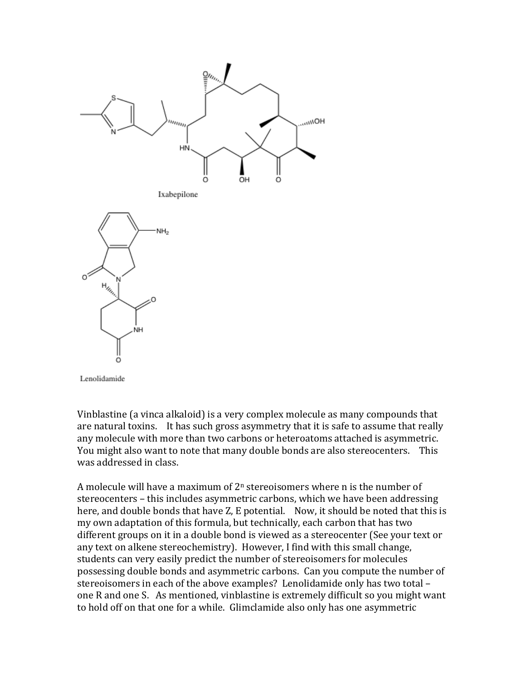

Lenolidamide

Vinblastine (a vinca alkaloid) is a very complex molecule as many compounds that are natural toxins. It has such gross asymmetry that it is safe to assume that really any molecule with more than two carbons or heteroatoms attached is asymmetric. You might also want to note that many double bonds are also stereocenters. This was addressed in class.

A molecule will have a maximum of  $2<sup>n</sup>$  stereoisomers where n is the number of stereocenters – this includes asymmetric carbons, which we have been addressing here, and double bonds that have Z, E potential. Now, it should be noted that this is my own adaptation of this formula, but technically, each carbon that has two different groups on it in a double bond is viewed as a stereocenter (See your text or any text on alkene stereochemistry). However, I find with this small change, students can very easily predict the number of stereoisomers for molecules possessing double bonds and asymmetric carbons. Can you compute the number of stereoisomers in each of the above examples? Lenolidamide only has two total – one R and one S. As mentioned, vinblastine is extremely difficult so you might want to hold off on that one for a while. Glimclamide also only has one asymmetric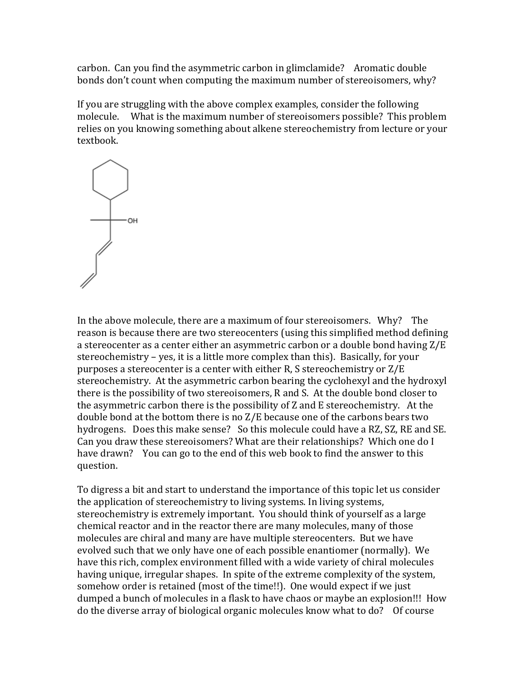carbon. Can you find the asymmetric carbon in glimclamide? Aromatic double bonds don't count when computing the maximum number of stereoisomers, why?

If you are struggling with the above complex examples, consider the following molecule. What is the maximum number of stereoisomers possible? This problem relies on you knowing something about alkene stereochemistry from lecture or your textbook.



In the above molecule, there are a maximum of four stereoisomers. Why? The reason is because there are two stereocenters (using this simplified method defining a stereocenter as a center either an asymmetric carbon or a double bond having Z/E stereochemistry – yes, it is a little more complex than this). Basically, for your purposes a stereocenter is a center with either R, S stereochemistry or Z/E stereochemistry. At the asymmetric carbon bearing the cyclohexyl and the hydroxyl there is the possibility of two stereoisomers, R and S. At the double bond closer to the asymmetric carbon there is the possibility of Z and E stereochemistry. At the double bond at the bottom there is no Z/E because one of the carbons bears two hydrogens. Does this make sense? So this molecule could have a RZ, SZ, RE and SE. Can you draw these stereoisomers? What are their relationships? Which one do I have drawn? You can go to the end of this web book to find the answer to this question.

To digress a bit and start to understand the importance of this topic let us consider the application of stereochemistry to living systems. In living systems, stereochemistry is extremely important. You should think of yourself as a large chemical reactor and in the reactor there are many molecules, many of those molecules are chiral and many are have multiple stereocenters. But we have evolved such that we only have one of each possible enantiomer (normally). We have this rich, complex environment filled with a wide variety of chiral molecules having unique, irregular shapes. In spite of the extreme complexity of the system, somehow order is retained (most of the time!!). One would expect if we just dumped a bunch of molecules in a flask to have chaos or maybe an explosion!!! How do the diverse array of biological organic molecules know what to do? Of course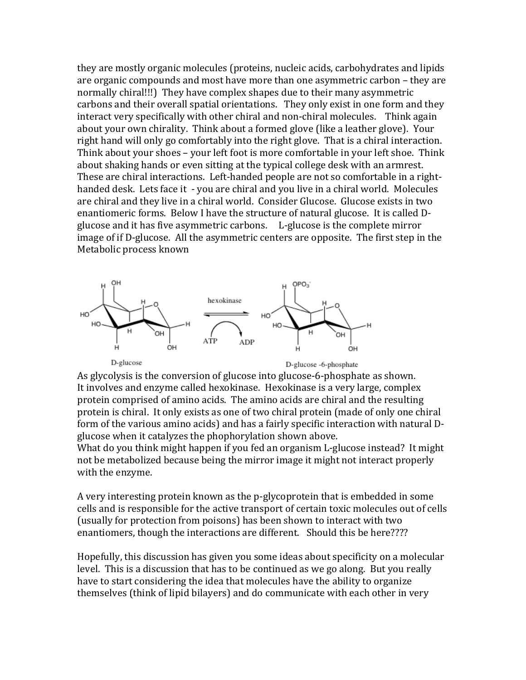they are mostly organic molecules (proteins, nucleic acids, carbohydrates and lipids are organic compounds and most have more than one asymmetric carbon – they are normally chiral!!!) They have complex shapes due to their many asymmetric carbons and their overall spatial orientations. They only exist in one form and they interact very specifically with other chiral and non-chiral molecules. Think again about your own chirality. Think about a formed glove (like a leather glove). Your right hand will only go comfortably into the right glove. That is a chiral interaction. Think about your shoes – your left foot is more comfortable in your left shoe. Think about shaking hands or even sitting at the typical college desk with an armrest. These are chiral interactions. Left-handed people are not so comfortable in a righthanded desk. Lets face it - you are chiral and you live in a chiral world. Molecules are chiral and they live in a chiral world. Consider Glucose. Glucose exists in two enantiomeric forms. Below I have the structure of natural glucose. It is called Dglucose and it has five asymmetric carbons. L-glucose is the complete mirror image of if D-glucose. All the asymmetric centers are opposite. The first step in the Metabolic process known



As glycolysis is the conversion of glucose into glucose-6-phosphate as shown. It involves and enzyme called hexokinase. Hexokinase is a very large, complex protein comprised of amino acids. The amino acids are chiral and the resulting protein is chiral. It only exists as one of two chiral protein (made of only one chiral form of the various amino acids) and has a fairly specific interaction with natural Dglucose when it catalyzes the phophorylation shown above.

What do you think might happen if you fed an organism L-glucose instead? It might not be metabolized because being the mirror image it might not interact properly with the enzyme.

A very interesting protein known as the p-glycoprotein that is embedded in some cells and is responsible for the active transport of certain toxic molecules out of cells (usually for protection from poisons) has been shown to interact with two enantiomers, though the interactions are different. Should this be here????

Hopefully, this discussion has given you some ideas about specificity on a molecular level. This is a discussion that has to be continued as we go along. But you really have to start considering the idea that molecules have the ability to organize themselves (think of lipid bilayers) and do communicate with each other in very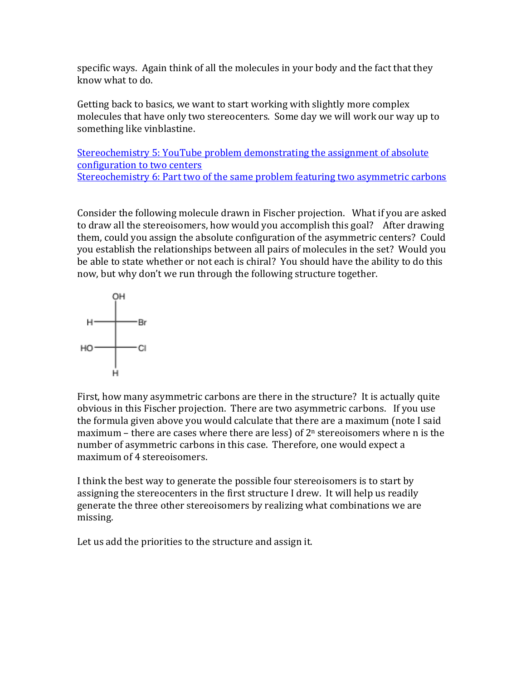specific ways. Again think of all the molecules in your body and the fact that they know what to do.

Getting back to basics, we want to start working with slightly more complex molecules that have only two stereocenters. Some day we will work our way up to something like vinblastine.

Stereochemistry 5: YouTube [problem demonstrating the assignment of absolute](http://www.youtube.com/watch?v=YEbI79cevFg&feature=related)  [configuration to two centers](http://www.youtube.com/watch?v=YEbI79cevFg&feature=related) [Stereochemistry 6: Part two of the same problem featuring two asymmetric carbons](http://www.youtube.com/watch?v=TDFyOuBHU7w&feature=related)

Consider the following molecule drawn in Fischer projection. What if you are asked to draw all the stereoisomers, how would you accomplish this goal? After drawing them, could you assign the absolute configuration of the asymmetric centers? Could you establish the relationships between all pairs of molecules in the set? Would you be able to state whether or not each is chiral? You should have the ability to do this now, but why don't we run through the following structure together.



First, how many asymmetric carbons are there in the structure? It is actually quite obvious in this Fischer projection. There are two asymmetric carbons. If you use the formula given above you would calculate that there are a maximum (note I said maximum – there are cases where there are less) of  $2<sup>n</sup>$  stereoisomers where n is the number of asymmetric carbons in this case. Therefore, one would expect a maximum of 4 stereoisomers.

I think the best way to generate the possible four stereoisomers is to start by assigning the stereocenters in the first structure I drew. It will help us readily generate the three other stereoisomers by realizing what combinations we are missing.

Let us add the priorities to the structure and assign it.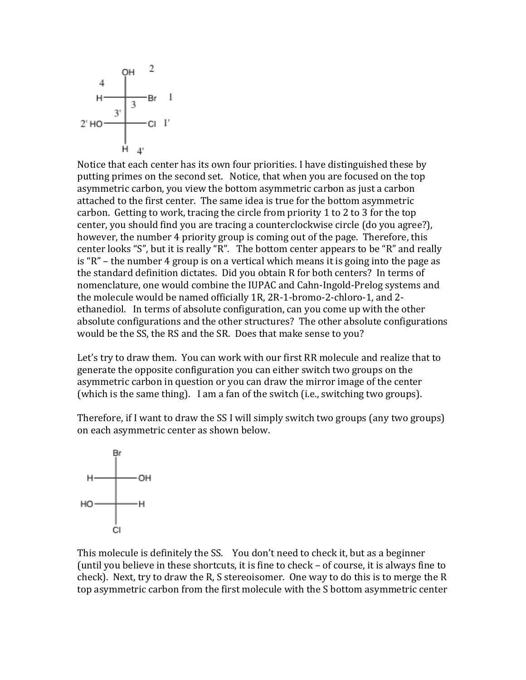

Notice that each center has its own four priorities. I have distinguished these by putting primes on the second set. Notice, that when you are focused on the top asymmetric carbon, you view the bottom asymmetric carbon as just a carbon attached to the first center. The same idea is true for the bottom asymmetric carbon. Getting to work, tracing the circle from priority 1 to 2 to 3 for the top center, you should find you are tracing a counterclockwise circle (do you agree?), however, the number 4 priority group is coming out of the page. Therefore, this center looks "S", but it is really "R". The bottom center appears to be "R" and really is "R" – the number 4 group is on a vertical which means it is going into the page as the standard definition dictates. Did you obtain R for both centers? In terms of nomenclature, one would combine the IUPAC and Cahn-Ingold-Prelog systems and the molecule would be named officially 1R, 2R-1-bromo-2-chloro-1, and 2 ethanediol. In terms of absolute configuration, can you come up with the other absolute configurations and the other structures? The other absolute configurations would be the SS, the RS and the SR. Does that make sense to you?

Let's try to draw them. You can work with our first RR molecule and realize that to generate the opposite configuration you can either switch two groups on the asymmetric carbon in question or you can draw the mirror image of the center (which is the same thing). I am a fan of the switch (i.e., switching two groups).

Therefore, if I want to draw the SS I will simply switch two groups (any two groups) on each asymmetric center as shown below.



This molecule is definitely the SS. You don't need to check it, but as a beginner (until you believe in these shortcuts, it is fine to check – of course, it is always fine to check). Next, try to draw the R, S stereoisomer. One way to do this is to merge the R top asymmetric carbon from the first molecule with the S bottom asymmetric center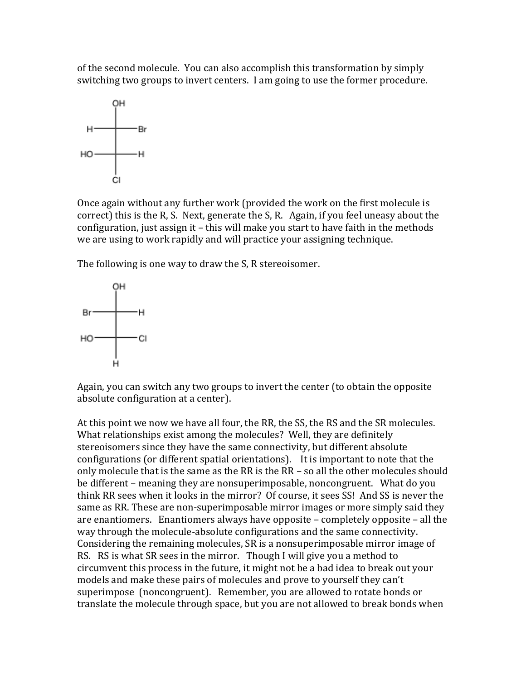of the second molecule. You can also accomplish this transformation by simply switching two groups to invert centers. I am going to use the former procedure.



Once again without any further work (provided the work on the first molecule is correct) this is the R, S. Next, generate the S, R. Again, if you feel uneasy about the configuration, just assign it – this will make you start to have faith in the methods we are using to work rapidly and will practice your assigning technique.

The following is one way to draw the S, R stereoisomer.



Again, you can switch any two groups to invert the center (to obtain the opposite absolute configuration at a center).

At this point we now we have all four, the RR, the SS, the RS and the SR molecules. What relationships exist among the molecules? Well, they are definitely stereoisomers since they have the same connectivity, but different absolute configurations (or different spatial orientations). It is important to note that the only molecule that is the same as the RR is the RR – so all the other molecules should be different – meaning they are nonsuperimposable, noncongruent. What do you think RR sees when it looks in the mirror? Of course, it sees SS! And SS is never the same as RR. These are non-superimposable mirror images or more simply said they are enantiomers. Enantiomers always have opposite – completely opposite – all the way through the molecule-absolute configurations and the same connectivity. Considering the remaining molecules, SR is a nonsuperimposable mirror image of RS. RS is what SR sees in the mirror. Though I will give you a method to circumvent this process in the future, it might not be a bad idea to break out your models and make these pairs of molecules and prove to yourself they can't superimpose (noncongruent). Remember, you are allowed to rotate bonds or translate the molecule through space, but you are not allowed to break bonds when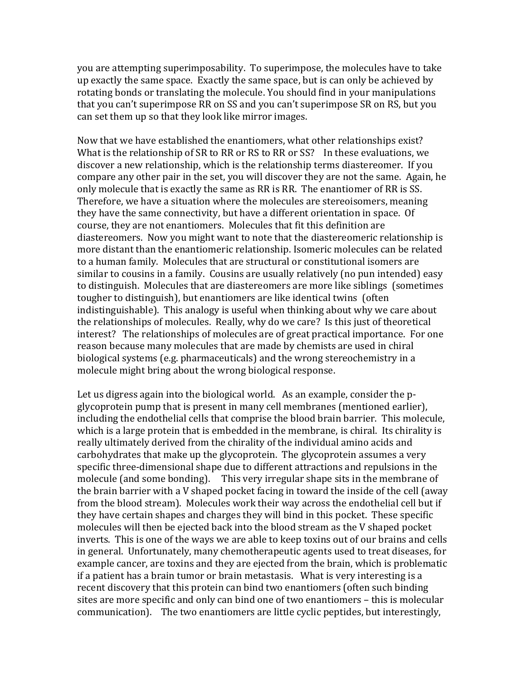you are attempting superimposability. To superimpose, the molecules have to take up exactly the same space. Exactly the same space, but is can only be achieved by rotating bonds or translating the molecule. You should find in your manipulations that you can't superimpose RR on SS and you can't superimpose SR on RS, but you can set them up so that they look like mirror images.

Now that we have established the enantiomers, what other relationships exist? What is the relationship of SR to RR or RS to RR or SS? In these evaluations, we discover a new relationship, which is the relationship terms diastereomer. If you compare any other pair in the set, you will discover they are not the same. Again, he only molecule that is exactly the same as RR is RR. The enantiomer of RR is SS. Therefore, we have a situation where the molecules are stereoisomers, meaning they have the same connectivity, but have a different orientation in space. Of course, they are not enantiomers. Molecules that fit this definition are diastereomers. Now you might want to note that the diastereomeric relationship is more distant than the enantiomeric relationship. Isomeric molecules can be related to a human family. Molecules that are structural or constitutional isomers are similar to cousins in a family. Cousins are usually relatively (no pun intended) easy to distinguish. Molecules that are diastereomers are more like siblings (sometimes tougher to distinguish), but enantiomers are like identical twins (often indistinguishable). This analogy is useful when thinking about why we care about the relationships of molecules. Really, why do we care? Is this just of theoretical interest? The relationships of molecules are of great practical importance. For one reason because many molecules that are made by chemists are used in chiral biological systems (e.g. pharmaceuticals) and the wrong stereochemistry in a molecule might bring about the wrong biological response.

Let us digress again into the biological world. As an example, consider the pglycoprotein pump that is present in many cell membranes (mentioned earlier), including the endothelial cells that comprise the blood brain barrier. This molecule, which is a large protein that is embedded in the membrane, is chiral. Its chirality is really ultimately derived from the chirality of the individual amino acids and carbohydrates that make up the glycoprotein. The glycoprotein assumes a very specific three-dimensional shape due to different attractions and repulsions in the molecule (and some bonding). This very irregular shape sits in the membrane of the brain barrier with a V shaped pocket facing in toward the inside of the cell (away from the blood stream). Molecules work their way across the endothelial cell but if they have certain shapes and charges they will bind in this pocket. These specific molecules will then be ejected back into the blood stream as the V shaped pocket inverts. This is one of the ways we are able to keep toxins out of our brains and cells in general. Unfortunately, many chemotherapeutic agents used to treat diseases, for example cancer, are toxins and they are ejected from the brain, which is problematic if a patient has a brain tumor or brain metastasis. What is very interesting is a recent discovery that this protein can bind two enantiomers (often such binding sites are more specific and only can bind one of two enantiomers – this is molecular communication). The two enantiomers are little cyclic peptides, but interestingly,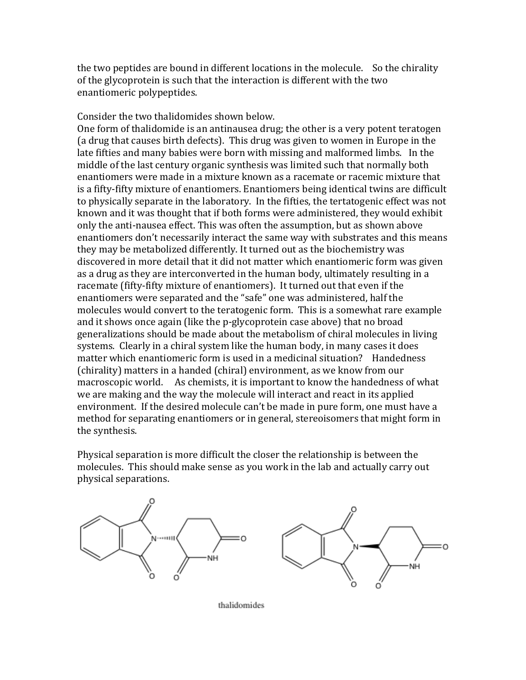the two peptides are bound in different locations in the molecule. So the chirality of the glycoprotein is such that the interaction is different with the two enantiomeric polypeptides.

Consider the two thalidomides shown below.

One form of thalidomide is an antinausea drug; the other is a very potent teratogen (a drug that causes birth defects). This drug was given to women in Europe in the late fifties and many babies were born with missing and malformed limbs. In the middle of the last century organic synthesis was limited such that normally both enantiomers were made in a mixture known as a racemate or racemic mixture that is a fifty-fifty mixture of enantiomers. Enantiomers being identical twins are difficult to physically separate in the laboratory. In the fifties, the tertatogenic effect was not known and it was thought that if both forms were administered, they would exhibit only the anti-nausea effect. This was often the assumption, but as shown above enantiomers don't necessarily interact the same way with substrates and this means they may be metabolized differently. It turned out as the biochemistry was discovered in more detail that it did not matter which enantiomeric form was given as a drug as they are interconverted in the human body, ultimately resulting in a racemate (fifty-fifty mixture of enantiomers). It turned out that even if the enantiomers were separated and the "safe" one was administered, half the molecules would convert to the teratogenic form. This is a somewhat rare example and it shows once again (like the p-glycoprotein case above) that no broad generalizations should be made about the metabolism of chiral molecules in living systems. Clearly in a chiral system like the human body, in many cases it does matter which enantiomeric form is used in a medicinal situation? Handedness (chirality) matters in a handed (chiral) environment, as we know from our macroscopic world. As chemists, it is important to know the handedness of what we are making and the way the molecule will interact and react in its applied environment. If the desired molecule can't be made in pure form, one must have a method for separating enantiomers or in general, stereoisomers that might form in the synthesis.

Physical separation is more difficult the closer the relationship is between the molecules. This should make sense as you work in the lab and actually carry out physical separations.



thalidomides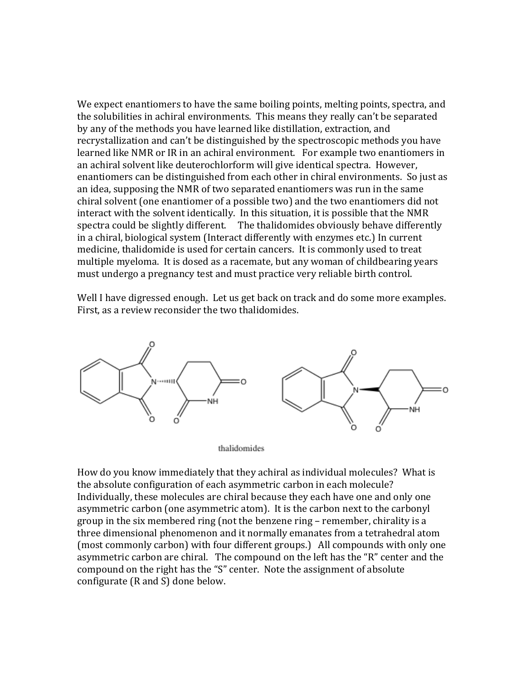We expect enantiomers to have the same boiling points, melting points, spectra, and the solubilities in achiral environments. This means they really can't be separated by any of the methods you have learned like distillation, extraction, and recrystallization and can't be distinguished by the spectroscopic methods you have learned like NMR or IR in an achiral environment. For example two enantiomers in an achiral solvent like deuterochlorform will give identical spectra. However, enantiomers can be distinguished from each other in chiral environments. So just as an idea, supposing the NMR of two separated enantiomers was run in the same chiral solvent (one enantiomer of a possible two) and the two enantiomers did not interact with the solvent identically. In this situation, it is possible that the NMR spectra could be slightly different. The thalidomides obviously behave differently in a chiral, biological system (Interact differently with enzymes etc.) In current medicine, thalidomide is used for certain cancers. It is commonly used to treat multiple myeloma. It is dosed as a racemate, but any woman of childbearing years must undergo a pregnancy test and must practice very reliable birth control.

Well I have digressed enough. Let us get back on track and do some more examples. First, as a review reconsider the two thalidomides.



thalidomides

How do you know immediately that they achiral as individual molecules? What is the absolute configuration of each asymmetric carbon in each molecule? Individually, these molecules are chiral because they each have one and only one asymmetric carbon (one asymmetric atom). It is the carbon next to the carbonyl group in the six membered ring (not the benzene ring – remember, chirality is a three dimensional phenomenon and it normally emanates from a tetrahedral atom (most commonly carbon) with four different groups.) All compounds with only one asymmetric carbon are chiral. The compound on the left has the "R" center and the compound on the right has the "S" center. Note the assignment of absolute configurate (R and S) done below.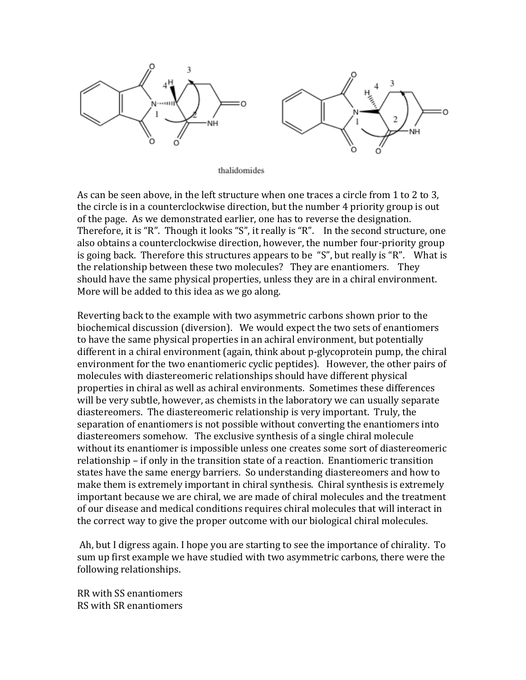

thalidomides

As can be seen above, in the left structure when one traces a circle from 1 to 2 to 3, the circle is in a counterclockwise direction, but the number 4 priority group is out of the page. As we demonstrated earlier, one has to reverse the designation. Therefore, it is "R". Though it looks "S", it really is "R". In the second structure, one also obtains a counterclockwise direction, however, the number four-priority group is going back. Therefore this structures appears to be "S", but really is "R". What is the relationship between these two molecules? They are enantiomers. They should have the same physical properties, unless they are in a chiral environment. More will be added to this idea as we go along.

Reverting back to the example with two asymmetric carbons shown prior to the biochemical discussion (diversion). We would expect the two sets of enantiomers to have the same physical properties in an achiral environment, but potentially different in a chiral environment (again, think about p-glycoprotein pump, the chiral environment for the two enantiomeric cyclic peptides). However, the other pairs of molecules with diastereomeric relationships should have different physical properties in chiral as well as achiral environments. Sometimes these differences will be very subtle, however, as chemists in the laboratory we can usually separate diastereomers. The diastereomeric relationship is very important. Truly, the separation of enantiomers is not possible without converting the enantiomers into diastereomers somehow. The exclusive synthesis of a single chiral molecule without its enantiomer is impossible unless one creates some sort of diastereomeric relationship – if only in the transition state of a reaction. Enantiomeric transition states have the same energy barriers. So understanding diastereomers and how to make them is extremely important in chiral synthesis. Chiral synthesis is extremely important because we are chiral, we are made of chiral molecules and the treatment of our disease and medical conditions requires chiral molecules that will interact in the correct way to give the proper outcome with our biological chiral molecules.

Ah, but I digress again. I hope you are starting to see the importance of chirality. To sum up first example we have studied with two asymmetric carbons, there were the following relationships.

RR with SS enantiomers RS with SR enantiomers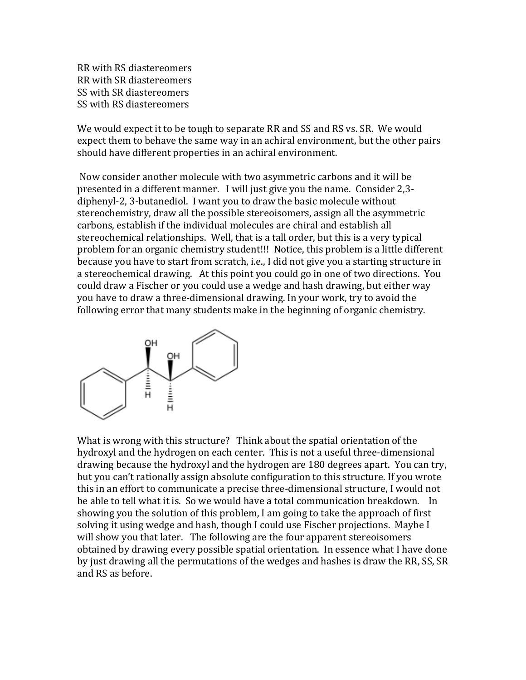RR with RS diastereomers RR with SR diastereomers SS with SR diastereomers SS with RS diastereomers

We would expect it to be tough to separate RR and SS and RS vs. SR. We would expect them to behave the same way in an achiral environment, but the other pairs should have different properties in an achiral environment.

Now consider another molecule with two asymmetric carbons and it will be presented in a different manner. I will just give you the name. Consider 2,3 diphenyl-2, 3-butanediol. I want you to draw the basic molecule without stereochemistry, draw all the possible stereoisomers, assign all the asymmetric carbons, establish if the individual molecules are chiral and establish all stereochemical relationships. Well, that is a tall order, but this is a very typical problem for an organic chemistry student!!! Notice, this problem is a little different because you have to start from scratch, i.e., I did not give you a starting structure in a stereochemical drawing. At this point you could go in one of two directions. You could draw a Fischer or you could use a wedge and hash drawing, but either way you have to draw a three-dimensional drawing. In your work, try to avoid the following error that many students make in the beginning of organic chemistry.



What is wrong with this structure? Think about the spatial orientation of the hydroxyl and the hydrogen on each center. This is not a useful three-dimensional drawing because the hydroxyl and the hydrogen are 180 degrees apart. You can try, but you can't rationally assign absolute configuration to this structure. If you wrote this in an effort to communicate a precise three-dimensional structure, I would not be able to tell what it is. So we would have a total communication breakdown. In showing you the solution of this problem, I am going to take the approach of first solving it using wedge and hash, though I could use Fischer projections. Maybe I will show you that later. The following are the four apparent stereoisomers obtained by drawing every possible spatial orientation. In essence what I have done by just drawing all the permutations of the wedges and hashes is draw the RR, SS, SR and RS as before.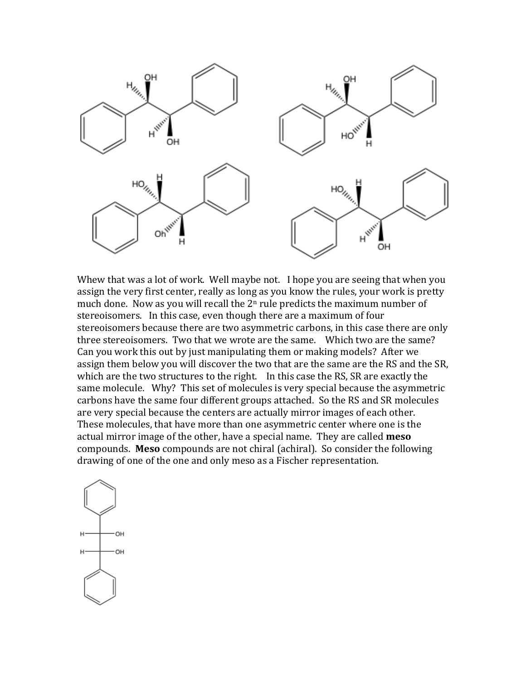

Whew that was a lot of work. Well maybe not. I hope you are seeing that when you assign the very first center, really as long as you know the rules, your work is pretty much done. Now as you will recall the  $2<sup>n</sup>$  rule predicts the maximum number of stereoisomers. In this case, even though there are a maximum of four stereoisomers because there are two asymmetric carbons, in this case there are only three stereoisomers. Two that we wrote are the same. Which two are the same? Can you work this out by just manipulating them or making models? After we assign them below you will discover the two that are the same are the RS and the SR, which are the two structures to the right. In this case the RS, SR are exactly the same molecule. Why? This set of molecules is very special because the asymmetric carbons have the same four different groups attached. So the RS and SR molecules are very special because the centers are actually mirror images of each other. These molecules, that have more than one asymmetric center where one is the actual mirror image of the other, have a special name. They are called **meso** compounds. **Meso** compounds are not chiral (achiral). So consider the following drawing of one of the one and only meso as a Fischer representation.

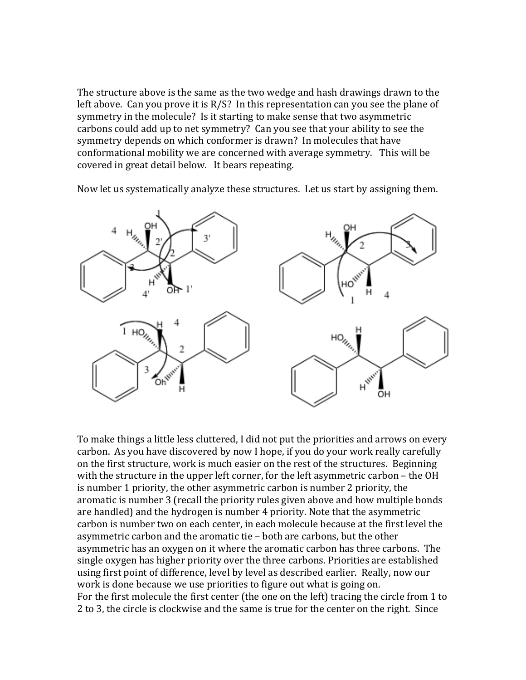The structure above is the same as the two wedge and hash drawings drawn to the left above. Can you prove it is  $R/S$ ? In this representation can you see the plane of symmetry in the molecule? Is it starting to make sense that two asymmetric carbons could add up to net symmetry? Can you see that your ability to see the symmetry depends on which conformer is drawn? In molecules that have conformational mobility we are concerned with average symmetry. This will be covered in great detail below. It bears repeating.

Now let us systematically analyze these structures. Let us start by assigning them.



To make things a little less cluttered, I did not put the priorities and arrows on every carbon. As you have discovered by now I hope, if you do your work really carefully on the first structure, work is much easier on the rest of the structures. Beginning with the structure in the upper left corner, for the left asymmetric carbon – the OH is number 1 priority, the other asymmetric carbon is number 2 priority, the aromatic is number 3 (recall the priority rules given above and how multiple bonds are handled) and the hydrogen is number 4 priority. Note that the asymmetric carbon is number two on each center, in each molecule because at the first level the asymmetric carbon and the aromatic tie – both are carbons, but the other asymmetric has an oxygen on it where the aromatic carbon has three carbons. The single oxygen has higher priority over the three carbons. Priorities are established using first point of difference, level by level as described earlier. Really, now our work is done because we use priorities to figure out what is going on. For the first molecule the first center (the one on the left) tracing the circle from 1 to 2 to 3, the circle is clockwise and the same is true for the center on the right. Since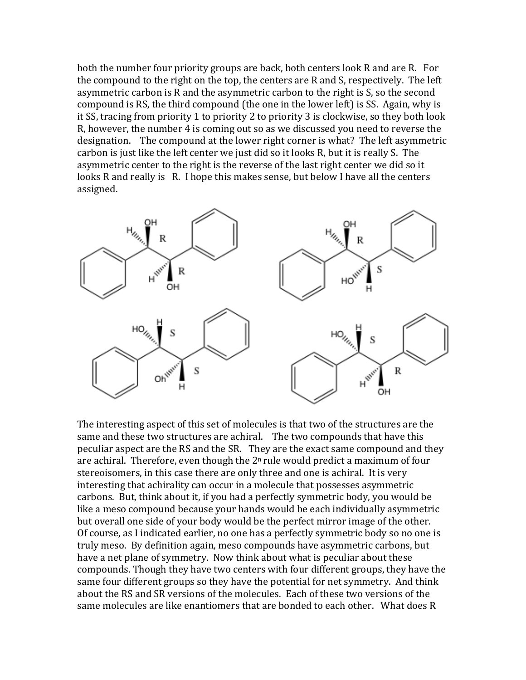both the number four priority groups are back, both centers look R and are R. For the compound to the right on the top, the centers are R and S, respectively. The left asymmetric carbon is R and the asymmetric carbon to the right is S, so the second compound is RS, the third compound (the one in the lower left) is SS. Again, why is it SS, tracing from priority 1 to priority 2 to priority 3 is clockwise, so they both look R, however, the number 4 is coming out so as we discussed you need to reverse the designation. The compound at the lower right corner is what? The left asymmetric carbon is just like the left center we just did so it looks R, but it is really S. The asymmetric center to the right is the reverse of the last right center we did so it looks R and really is R. I hope this makes sense, but below I have all the centers assigned.



The interesting aspect of this set of molecules is that two of the structures are the same and these two structures are achiral. The two compounds that have this peculiar aspect are the RS and the SR. They are the exact same compound and they are achiral. Therefore, even though the  $2<sup>n</sup>$  rule would predict a maximum of four stereoisomers, in this case there are only three and one is achiral. It is very interesting that achirality can occur in a molecule that possesses asymmetric carbons. But, think about it, if you had a perfectly symmetric body, you would be like a meso compound because your hands would be each individually asymmetric but overall one side of your body would be the perfect mirror image of the other. Of course, as I indicated earlier, no one has a perfectly symmetric body so no one is truly meso. By definition again, meso compounds have asymmetric carbons, but have a net plane of symmetry. Now think about what is peculiar about these compounds. Though they have two centers with four different groups, they have the same four different groups so they have the potential for net symmetry. And think about the RS and SR versions of the molecules. Each of these two versions of the same molecules are like enantiomers that are bonded to each other. What does R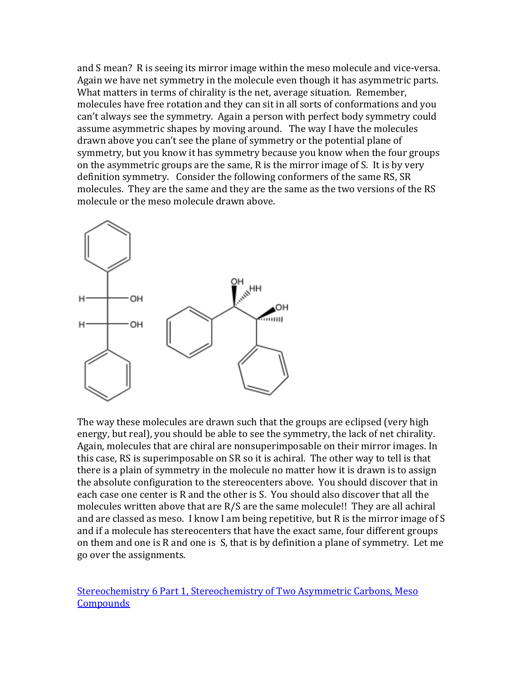and S mean? R is seeing its mirror image within the meso molecule and vice-versa. Again we have net symmetry in the molecule even though it has asymmetric parts. What matters in terms of chirality is the net, average situation. Remember, molecules have free rotation and they can sit in all sorts of conformations and you can't always see the symmetry. Again a person with perfect body symmetry could assume asymmetric shapes by moving around. The way I have the molecules drawn above you can't see the plane of symmetry or the potential plane of symmetry, but you know it has symmetry because you know when the four groups on the asymmetric groups are the same, R is the mirror image of S. It is by very definition symmetry. Consider the following conformers of the same RS, SR molecules. They are the same and they are the same as the two versions of the RS molecule or the meso molecule drawn above.



The way these molecules are drawn such that the groups are eclipsed (very high energy, but real), you should be able to see the symmetry, the lack of net chirality. Again, molecules that are chiral are nonsuperimposable on their mirror images. In this case, RS is superimposable on SR so it is achiral. The other way to tell is that there is a plain of symmetry in the molecule no matter how it is drawn is to assign the absolute configuration to the stereocenters above. You should discover that in each case one center is R and the other is S. You should also discover that all the molecules written above that are R/S are the same molecule!! They are all achiral and are classed as meso. I know I am being repetitive, but R is the mirror image of S and if a molecule has stereocenters that have the exact same, four different groups on them and one is R and one is S, that is by definition a plane of symmetry. Let me go over the assignments.

[Stereochemistry 6 Part 1, Stereochemistry of Two Asymmetric Carbons, Meso](http://www.youtube.com/my_videos_edit)  **[Compounds](http://www.youtube.com/my_videos_edit)**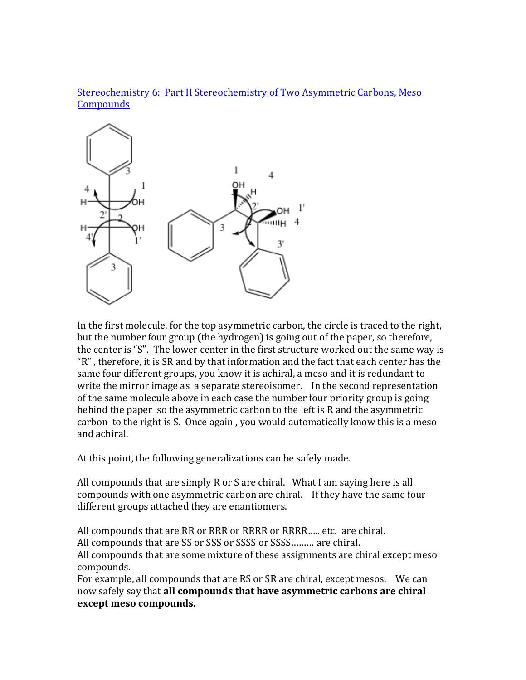# [Stereochemistry 6: Part II Stereochemistry of Two Asymmetric Carbons, Meso](http://www.youtube.com/watch?v=TDFyOuBHU7w)  **[Compounds](http://www.youtube.com/watch?v=TDFyOuBHU7w)**



In the first molecule, for the top asymmetric carbon, the circle is traced to the right, but the number four group (the hydrogen) is going out of the paper, so therefore, the center is "S". The lower center in the first structure worked out the same way is "R" , therefore, it is SR and by that information and the fact that each center has the same four different groups, you know it is achiral, a meso and it is redundant to write the mirror image as a separate stereoisomer. In the second representation of the same molecule above in each case the number four priority group is going behind the paper so the asymmetric carbon to the left is R and the asymmetric carbon to the right is S. Once again , you would automatically know this is a meso and achiral.

At this point, the following generalizations can be safely made.

All compounds that are simply R or S are chiral. What I am saying here is all compounds with one asymmetric carbon are chiral. If they have the same four different groups attached they are enantiomers.

All compounds that are RR or RRR or RRRR or RRRR….. etc. are chiral.

All compounds that are SS or SSS or SSSS or SSSS……… are chiral.

All compounds that are some mixture of these assignments are chiral except meso compounds.

For example, all compounds that are RS or SR are chiral, except mesos. We can now safely say that **all compounds that have asymmetric carbons are chiral except meso compounds.**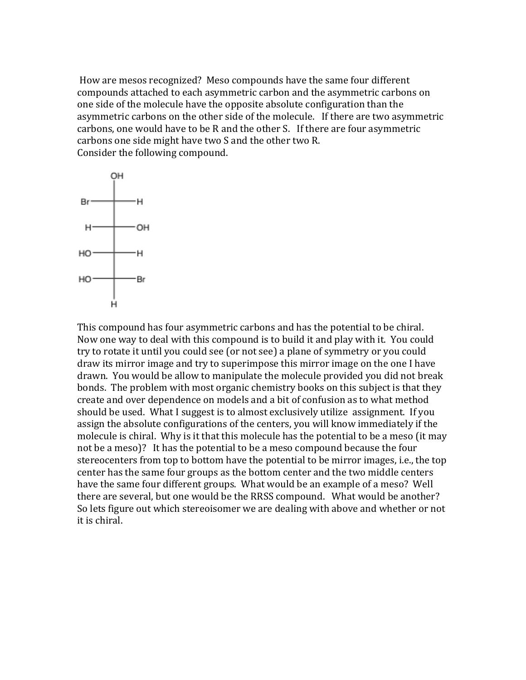How are mesos recognized? Meso compounds have the same four different compounds attached to each asymmetric carbon and the asymmetric carbons on one side of the molecule have the opposite absolute configuration than the asymmetric carbons on the other side of the molecule. If there are two asymmetric carbons, one would have to be R and the other S. If there are four asymmetric carbons one side might have two S and the other two R. Consider the following compound.



This compound has four asymmetric carbons and has the potential to be chiral. Now one way to deal with this compound is to build it and play with it. You could try to rotate it until you could see (or not see) a plane of symmetry or you could draw its mirror image and try to superimpose this mirror image on the one I have drawn. You would be allow to manipulate the molecule provided you did not break bonds. The problem with most organic chemistry books on this subject is that they create and over dependence on models and a bit of confusion as to what method should be used. What I suggest is to almost exclusively utilize assignment. If you assign the absolute configurations of the centers, you will know immediately if the molecule is chiral. Why is it that this molecule has the potential to be a meso (it may not be a meso)? It has the potential to be a meso compound because the four stereocenters from top to bottom have the potential to be mirror images, i.e., the top center has the same four groups as the bottom center and the two middle centers have the same four different groups. What would be an example of a meso? Well there are several, but one would be the RRSS compound. What would be another? So lets figure out which stereoisomer we are dealing with above and whether or not it is chiral.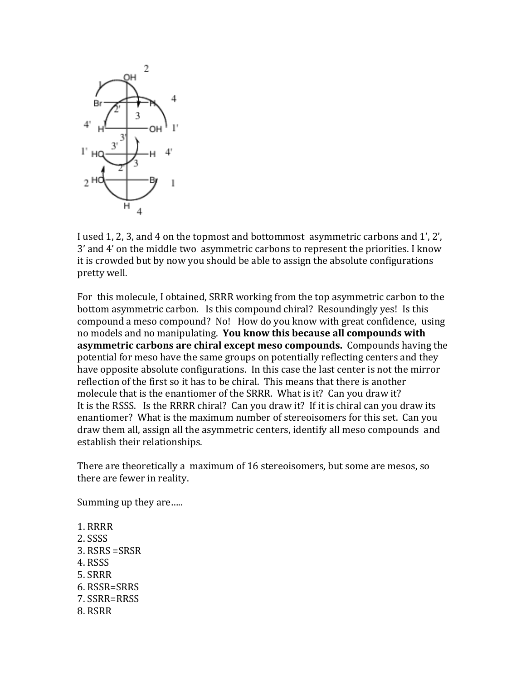

I used 1, 2, 3, and 4 on the topmost and bottommost asymmetric carbons and 1', 2', 3' and 4' on the middle two asymmetric carbons to represent the priorities. I know it is crowded but by now you should be able to assign the absolute configurations pretty well.

For this molecule, I obtained, SRRR working from the top asymmetric carbon to the bottom asymmetric carbon. Is this compound chiral? Resoundingly yes! Is this compound a meso compound? No! How do you know with great confidence, using no models and no manipulating. **You know this because all compounds with asymmetric carbons are chiral except meso compounds.** Compounds having the potential for meso have the same groups on potentially reflecting centers and they have opposite absolute configurations. In this case the last center is not the mirror reflection of the first so it has to be chiral. This means that there is another molecule that is the enantiomer of the SRRR. What is it? Can you draw it? It is the RSSS. Is the RRRR chiral? Can you draw it? If it is chiral can you draw its enantiomer? What is the maximum number of stereoisomers for this set. Can you draw them all, assign all the asymmetric centers, identify all meso compounds and establish their relationships.

There are theoretically a maximum of 16 stereoisomers, but some are mesos, so there are fewer in reality.

Summing up they are…..

1. RRRR 2. SSSS 3. RSRS =SRSR 4. RSSS 5. SRRR 6. RSSR=SRRS 7. SSRR=RRSS 8. RSRR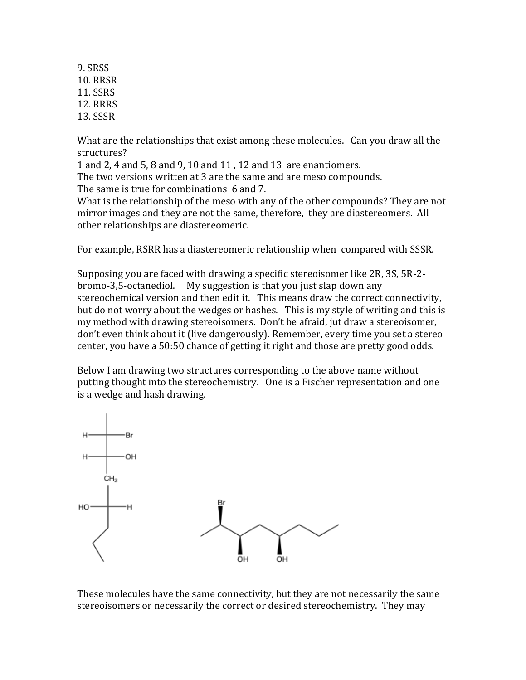9. SRSS 10. RRSR 11. SSRS 12. RRRS 13. SSSR

What are the relationships that exist among these molecules. Can you draw all the structures?

1 and 2, 4 and 5, 8 and 9, 10 and 11 , 12 and 13 are enantiomers.

The two versions written at 3 are the same and are meso compounds. The same is true for combinations 6 and 7.

What is the relationship of the meso with any of the other compounds? They are not mirror images and they are not the same, therefore, they are diastereomers. All other relationships are diastereomeric.

For example, RSRR has a diastereomeric relationship when compared with SSSR.

Supposing you are faced with drawing a specific stereoisomer like 2R, 3S, 5R-2 bromo-3,5-octanediol. My suggestion is that you just slap down any stereochemical version and then edit it. This means draw the correct connectivity, but do not worry about the wedges or hashes. This is my style of writing and this is my method with drawing stereoisomers. Don't be afraid, jut draw a stereoisomer, don't even think about it (live dangerously). Remember, every time you set a stereo center, you have a 50:50 chance of getting it right and those are pretty good odds.

Below I am drawing two structures corresponding to the above name without putting thought into the stereochemistry. One is a Fischer representation and one is a wedge and hash drawing.



These molecules have the same connectivity, but they are not necessarily the same stereoisomers or necessarily the correct or desired stereochemistry. They may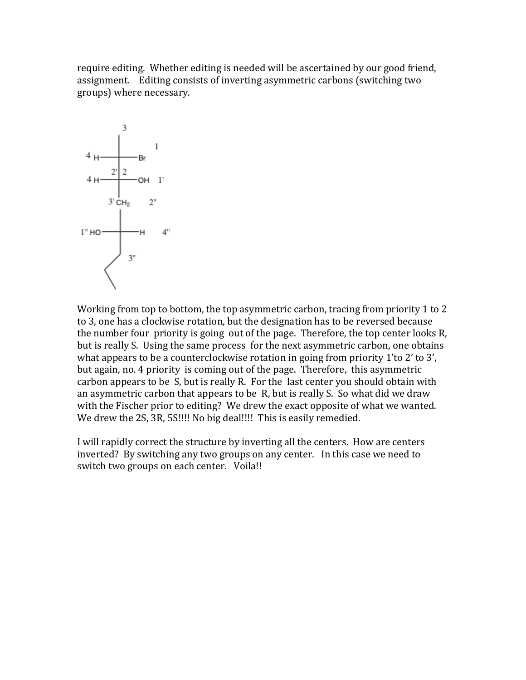require editing. Whether editing is needed will be ascertained by our good friend, assignment. Editing consists of inverting asymmetric carbons (switching two groups) where necessary.



Working from top to bottom, the top asymmetric carbon, tracing from priority 1 to 2 to 3, one has a clockwise rotation, but the designation has to be reversed because the number four priority is going out of the page. Therefore, the top center looks R, but is really S. Using the same process for the next asymmetric carbon, one obtains what appears to be a counterclockwise rotation in going from priority 1'to 2' to 3', but again, no. 4 priority is coming out of the page. Therefore, this asymmetric carbon appears to be S, but is really R. For the last center you should obtain with an asymmetric carbon that appears to be R, but is really S. So what did we draw with the Fischer prior to editing? We drew the exact opposite of what we wanted. We drew the 2S, 3R, 5S!!!! No big deal!!!! This is easily remedied.

I will rapidly correct the structure by inverting all the centers. How are centers inverted? By switching any two groups on any center. In this case we need to switch two groups on each center. Voila!!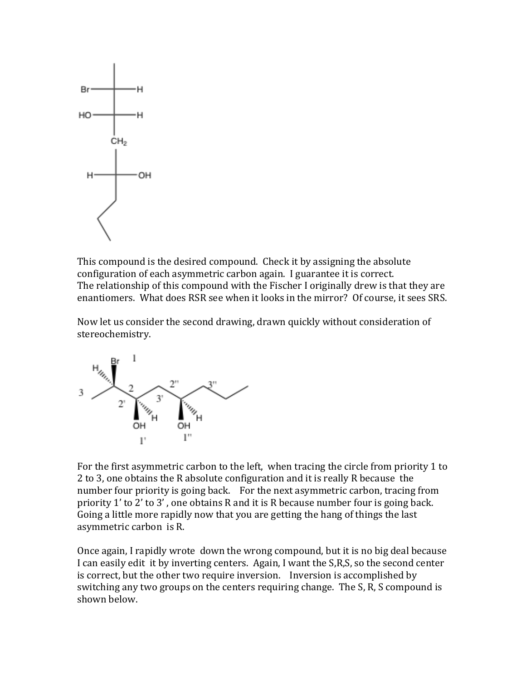

This compound is the desired compound. Check it by assigning the absolute configuration of each asymmetric carbon again. I guarantee it is correct. The relationship of this compound with the Fischer I originally drew is that they are enantiomers. What does RSR see when it looks in the mirror? Of course, it sees SRS.

Now let us consider the second drawing, drawn quickly without consideration of stereochemistry.



For the first asymmetric carbon to the left, when tracing the circle from priority 1 to 2 to 3, one obtains the R absolute configuration and it is really R because the number four priority is going back. For the next asymmetric carbon, tracing from priority 1' to 2' to 3' , one obtains R and it is R because number four is going back. Going a little more rapidly now that you are getting the hang of things the last asymmetric carbon is R.

Once again, I rapidly wrote down the wrong compound, but it is no big deal because I can easily edit it by inverting centers. Again, I want the S,R,S, so the second center is correct, but the other two require inversion. Inversion is accomplished by switching any two groups on the centers requiring change. The S, R, S compound is shown below.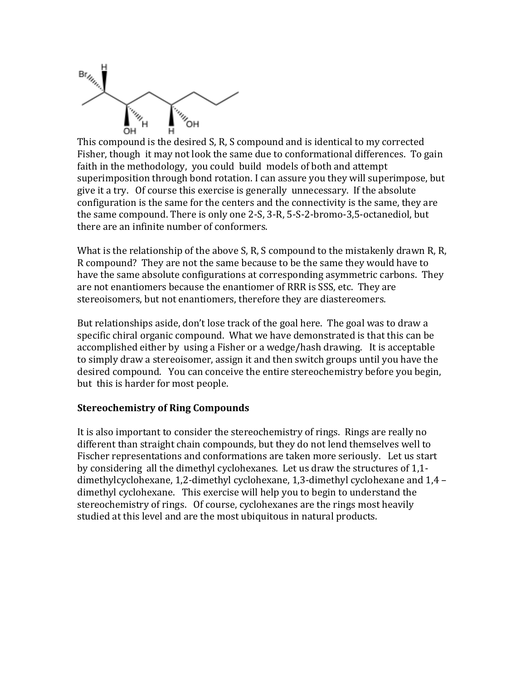

This compound is the desired S, R, S compound and is identical to my corrected Fisher, though it may not look the same due to conformational differences. To gain faith in the methodology, you could build models of both and attempt superimposition through bond rotation. I can assure you they will superimpose, but give it a try. Of course this exercise is generally unnecessary. If the absolute configuration is the same for the centers and the connectivity is the same, they are the same compound. There is only one 2-S, 3-R, 5-S-2-bromo-3,5-octanediol, but there are an infinite number of conformers.

What is the relationship of the above S, R, S compound to the mistakenly drawn R, R, R compound? They are not the same because to be the same they would have to have the same absolute configurations at corresponding asymmetric carbons. They are not enantiomers because the enantiomer of RRR is SSS, etc. They are stereoisomers, but not enantiomers, therefore they are diastereomers.

But relationships aside, don't lose track of the goal here. The goal was to draw a specific chiral organic compound. What we have demonstrated is that this can be accomplished either by using a Fisher or a wedge/hash drawing. It is acceptable to simply draw a stereoisomer, assign it and then switch groups until you have the desired compound. You can conceive the entire stereochemistry before you begin, but this is harder for most people.

#### **Stereochemistry of Ring Compounds**

It is also important to consider the stereochemistry of rings. Rings are really no different than straight chain compounds, but they do not lend themselves well to Fischer representations and conformations are taken more seriously. Let us start by considering all the dimethyl cyclohexanes. Let us draw the structures of 1,1 dimethylcyclohexane, 1,2-dimethyl cyclohexane, 1,3-dimethyl cyclohexane and 1,4 – dimethyl cyclohexane. This exercise will help you to begin to understand the stereochemistry of rings. Of course, cyclohexanes are the rings most heavily studied at this level and are the most ubiquitous in natural products.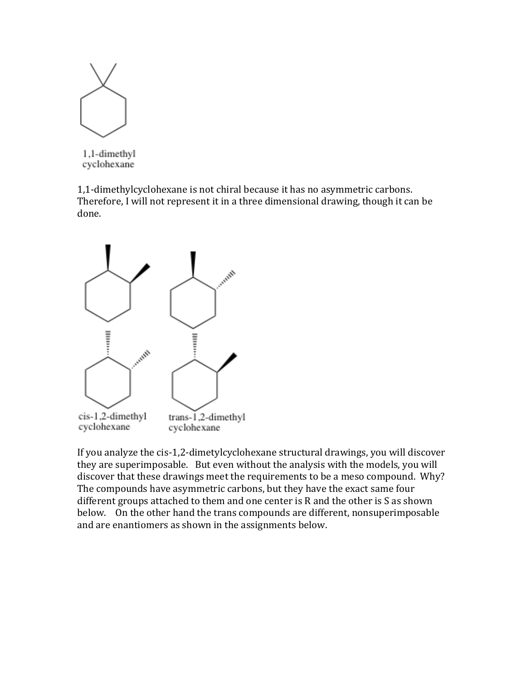

1.1-dimethyl cyclohexane

1,1-dimethylcyclohexane is not chiral because it has no asymmetric carbons. Therefore, I will not represent it in a three dimensional drawing, though it can be done.



If you analyze the cis-1,2-dimetylcyclohexane structural drawings, you will discover they are superimposable. But even without the analysis with the models, you will discover that these drawings meet the requirements to be a meso compound. Why? The compounds have asymmetric carbons, but they have the exact same four different groups attached to them and one center is R and the other is S as shown below. On the other hand the trans compounds are different, nonsuperimposable and are enantiomers as shown in the assignments below.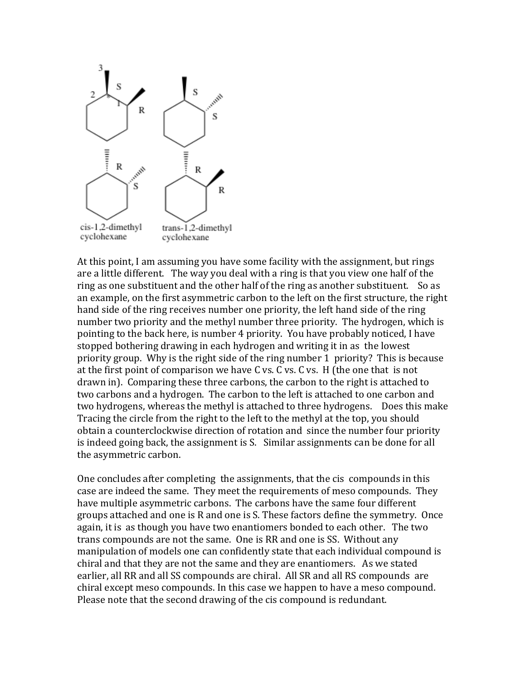

At this point, I am assuming you have some facility with the assignment, but rings are a little different. The way you deal with a ring is that you view one half of the ring as one substituent and the other half of the ring as another substituent. So as an example, on the first asymmetric carbon to the left on the first structure, the right hand side of the ring receives number one priority, the left hand side of the ring number two priority and the methyl number three priority. The hydrogen, which is pointing to the back here, is number 4 priority. You have probably noticed, I have stopped bothering drawing in each hydrogen and writing it in as the lowest priority group. Why is the right side of the ring number 1 priority? This is because at the first point of comparison we have C vs. C vs. C vs. H (the one that is not drawn in). Comparing these three carbons, the carbon to the right is attached to two carbons and a hydrogen. The carbon to the left is attached to one carbon and two hydrogens, whereas the methyl is attached to three hydrogens. Does this make Tracing the circle from the right to the left to the methyl at the top, you should obtain a counterclockwise direction of rotation and since the number four priority is indeed going back, the assignment is S. Similar assignments can be done for all the asymmetric carbon.

One concludes after completing the assignments, that the cis compounds in this case are indeed the same. They meet the requirements of meso compounds. They have multiple asymmetric carbons. The carbons have the same four different groups attached and one is R and one is S. These factors define the symmetry. Once again, it is as though you have two enantiomers bonded to each other. The two trans compounds are not the same. One is RR and one is SS. Without any manipulation of models one can confidently state that each individual compound is chiral and that they are not the same and they are enantiomers. As we stated earlier, all RR and all SS compounds are chiral. All SR and all RS compounds are chiral except meso compounds. In this case we happen to have a meso compound. Please note that the second drawing of the cis compound is redundant.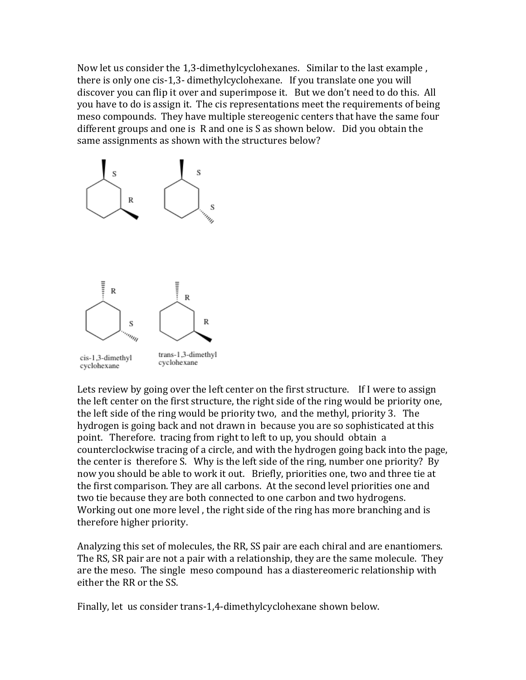Now let us consider the 1,3-dimethylcyclohexanes. Similar to the last example , there is only one cis-1,3- dimethylcyclohexane. If you translate one you will discover you can flip it over and superimpose it. But we don't need to do this. All you have to do is assign it. The cis representations meet the requirements of being meso compounds. They have multiple stereogenic centers that have the same four different groups and one is R and one is S as shown below. Did you obtain the same assignments as shown with the structures below?



Lets review by going over the left center on the first structure. If I were to assign the left center on the first structure, the right side of the ring would be priority one, the left side of the ring would be priority two, and the methyl, priority 3. The hydrogen is going back and not drawn in because you are so sophisticated at this point. Therefore. tracing from right to left to up, you should obtain a counterclockwise tracing of a circle, and with the hydrogen going back into the page, the center is therefore S. Why is the left side of the ring, number one priority? By now you should be able to work it out. Briefly, priorities one, two and three tie at the first comparison. They are all carbons. At the second level priorities one and two tie because they are both connected to one carbon and two hydrogens. Working out one more level , the right side of the ring has more branching and is therefore higher priority.

Analyzing this set of molecules, the RR, SS pair are each chiral and are enantiomers. The RS, SR pair are not a pair with a relationship, they are the same molecule. They are the meso. The single meso compound has a diastereomeric relationship with either the RR or the SS.

Finally, let us consider trans-1,4-dimethylcyclohexane shown below.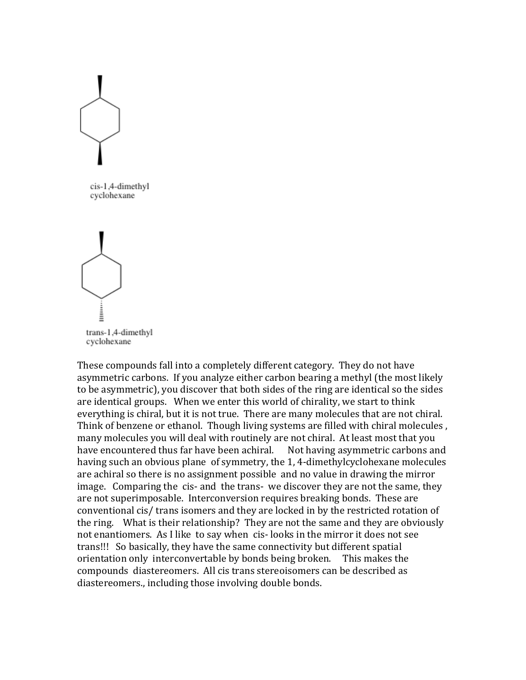

cis-1.4-dimethyl cyclohexane



These compounds fall into a completely different category. They do not have asymmetric carbons. If you analyze either carbon bearing a methyl (the most likely to be asymmetric), you discover that both sides of the ring are identical so the sides are identical groups. When we enter this world of chirality, we start to think everything is chiral, but it is not true. There are many molecules that are not chiral. Think of benzene or ethanol. Though living systems are filled with chiral molecules , many molecules you will deal with routinely are not chiral. At least most that you have encountered thus far have been achiral. Not having asymmetric carbons and having such an obvious plane of symmetry, the 1, 4-dimethylcyclohexane molecules are achiral so there is no assignment possible and no value in drawing the mirror image. Comparing the cis- and the trans- we discover they are not the same, they are not superimposable. Interconversion requires breaking bonds. These are conventional cis/ trans isomers and they are locked in by the restricted rotation of the ring. What is their relationship? They are not the same and they are obviously not enantiomers. As I like to say when cis- looks in the mirror it does not see trans!!! So basically, they have the same connectivity but different spatial orientation only interconvertable by bonds being broken. This makes the compounds diastereomers. All cis trans stereoisomers can be described as diastereomers., including those involving double bonds.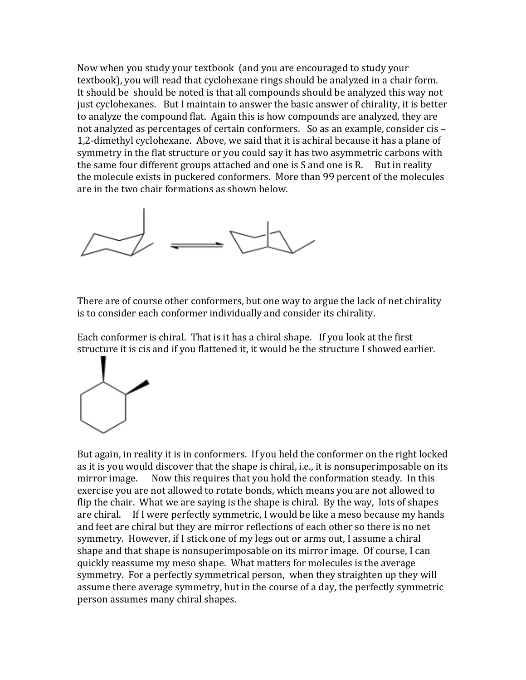Now when you study your textbook (and you are encouraged to study your textbook), you will read that cyclohexane rings should be analyzed in a chair form. It should be should be noted is that all compounds should be analyzed this way not just cyclohexanes. But I maintain to answer the basic answer of chirality, it is better to analyze the compound flat. Again this is how compounds are analyzed, they are not analyzed as percentages of certain conformers. So as an example, consider cis – 1,2-dimethyl cyclohexane. Above, we said that it is achiral because it has a plane of symmetry in the flat structure or you could say it has two asymmetric carbons with the same four different groups attached and one is S and one is R. But in reality the molecule exists in puckered conformers. More than 99 percent of the molecules are in the two chair formations as shown below.



There are of course other conformers, but one way to argue the lack of net chirality is to consider each conformer individually and consider its chirality.

Each conformer is chiral. That is it has a chiral shape. If you look at the first structure it is cis and if you flattened it, it would be the structure I showed earlier.



But again, in reality it is in conformers. If you held the conformer on the right locked as it is you would discover that the shape is chiral, i.e., it is nonsuperimposable on its mirror image. Now this requires that you hold the conformation steady. In this exercise you are not allowed to rotate bonds, which means you are not allowed to flip the chair. What we are saying is the shape is chiral. By the way, lots of shapes are chiral. If I were perfectly symmetric, I would be like a meso because my hands and feet are chiral but they are mirror reflections of each other so there is no net symmetry. However, if I stick one of my legs out or arms out, I assume a chiral shape and that shape is nonsuperimposable on its mirror image. Of course, I can quickly reassume my meso shape. What matters for molecules is the average symmetry. For a perfectly symmetrical person, when they straighten up they will assume there average symmetry, but in the course of a day, the perfectly symmetric person assumes many chiral shapes.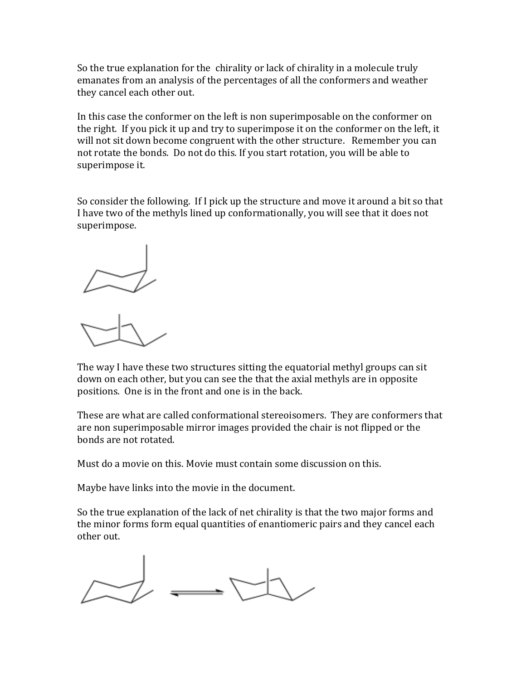So the true explanation for the chirality or lack of chirality in a molecule truly emanates from an analysis of the percentages of all the conformers and weather they cancel each other out.

In this case the conformer on the left is non superimposable on the conformer on the right. If you pick it up and try to superimpose it on the conformer on the left, it will not sit down become congruent with the other structure. Remember you can not rotate the bonds. Do not do this. If you start rotation, you will be able to superimpose it.

So consider the following. If I pick up the structure and move it around a bit so that I have two of the methyls lined up conformationally, you will see that it does not superimpose.



The way I have these two structures sitting the equatorial methyl groups can sit down on each other, but you can see the that the axial methyls are in opposite positions. One is in the front and one is in the back.

These are what are called conformational stereoisomers. They are conformers that are non superimposable mirror images provided the chair is not flipped or the bonds are not rotated.

Must do a movie on this. Movie must contain some discussion on this.

Maybe have links into the movie in the document.

So the true explanation of the lack of net chirality is that the two major forms and the minor forms form equal quantities of enantiomeric pairs and they cancel each other out.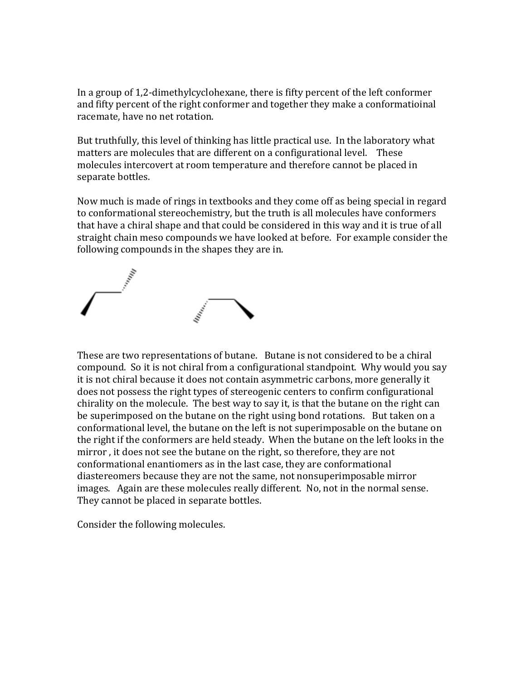In a group of 1,2-dimethylcyclohexane, there is fifty percent of the left conformer and fifty percent of the right conformer and together they make a conformatioinal racemate, have no net rotation.

But truthfully, this level of thinking has little practical use. In the laboratory what matters are molecules that are different on a configurational level. These molecules intercovert at room temperature and therefore cannot be placed in separate bottles.

Now much is made of rings in textbooks and they come off as being special in regard to conformational stereochemistry, but the truth is all molecules have conformers that have a chiral shape and that could be considered in this way and it is true of all straight chain meso compounds we have looked at before. For example consider the following compounds in the shapes they are in.



These are two representations of butane. Butane is not considered to be a chiral compound. So it is not chiral from a configurational standpoint. Why would you say it is not chiral because it does not contain asymmetric carbons, more generally it does not possess the right types of stereogenic centers to confirm configurational chirality on the molecule. The best way to say it, is that the butane on the right can be superimposed on the butane on the right using bond rotations. But taken on a conformational level, the butane on the left is not superimposable on the butane on the right if the conformers are held steady. When the butane on the left looks in the mirror , it does not see the butane on the right, so therefore, they are not conformational enantiomers as in the last case, they are conformational diastereomers because they are not the same, not nonsuperimposable mirror images. Again are these molecules really different. No, not in the normal sense. They cannot be placed in separate bottles.

Consider the following molecules.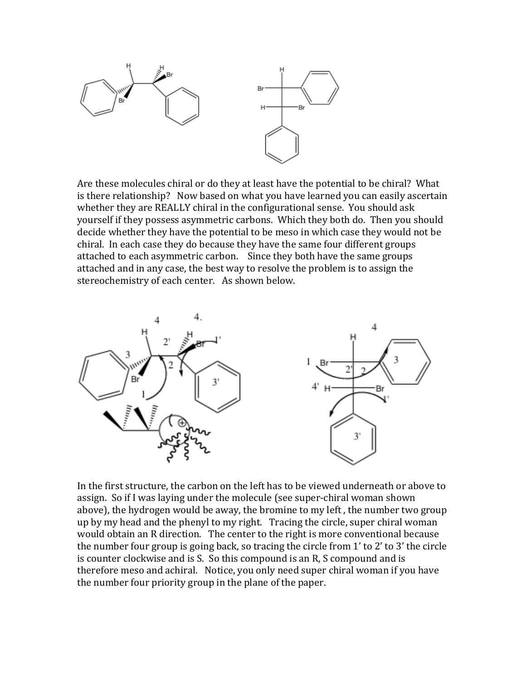

Are these molecules chiral or do they at least have the potential to be chiral? What is there relationship? Now based on what you have learned you can easily ascertain whether they are REALLY chiral in the configurational sense. You should ask yourself if they possess asymmetric carbons. Which they both do. Then you should decide whether they have the potential to be meso in which case they would not be chiral. In each case they do because they have the same four different groups attached to each asymmetric carbon. Since they both have the same groups attached and in any case, the best way to resolve the problem is to assign the stereochemistry of each center. As shown below.



In the first structure, the carbon on the left has to be viewed underneath or above to assign. So if I was laying under the molecule (see super-chiral woman shown above), the hydrogen would be away, the bromine to my left , the number two group up by my head and the phenyl to my right. Tracing the circle, super chiral woman would obtain an R direction. The center to the right is more conventional because the number four group is going back, so tracing the circle from 1' to 2' to 3' the circle is counter clockwise and is S. So this compound is an R, S compound and is therefore meso and achiral. Notice, you only need super chiral woman if you have the number four priority group in the plane of the paper.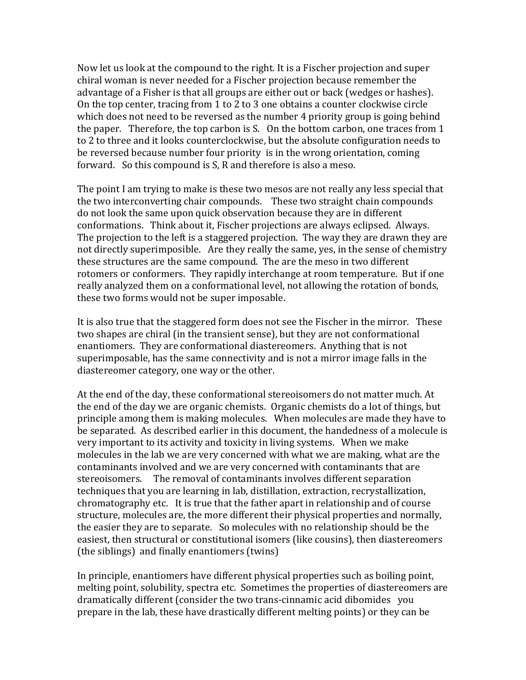Now let us look at the compound to the right. It is a Fischer projection and super chiral woman is never needed for a Fischer projection because remember the advantage of a Fisher is that all groups are either out or back (wedges or hashes). On the top center, tracing from 1 to 2 to 3 one obtains a counter clockwise circle which does not need to be reversed as the number 4 priority group is going behind the paper. Therefore, the top carbon is S. On the bottom carbon, one traces from 1 to 2 to three and it looks counterclockwise, but the absolute configuration needs to be reversed because number four priority is in the wrong orientation, coming forward. So this compound is S, R and therefore is also a meso.

The point I am trying to make is these two mesos are not really any less special that the two interconverting chair compounds. These two straight chain compounds do not look the same upon quick observation because they are in different conformations. Think about it, Fischer projections are always eclipsed. Always. The projection to the left is a staggered projection. The way they are drawn they are not directly superimposible. Are they really the same, yes, in the sense of chemistry these structures are the same compound. The are the meso in two different rotomers or conformers. They rapidly interchange at room temperature. But if one really analyzed them on a conformational level, not allowing the rotation of bonds, these two forms would not be super imposable.

It is also true that the staggered form does not see the Fischer in the mirror. These two shapes are chiral (in the transient sense), but they are not conformational enantiomers. They are conformational diastereomers. Anything that is not superimposable, has the same connectivity and is not a mirror image falls in the diastereomer category, one way or the other.

At the end of the day, these conformational stereoisomers do not matter much. At the end of the day we are organic chemists. Organic chemists do a lot of things, but principle among them is making molecules. When molecules are made they have to be separated. As described earlier in this document, the handedness of a molecule is very important to its activity and toxicity in living systems. When we make molecules in the lab we are very concerned with what we are making, what are the contaminants involved and we are very concerned with contaminants that are stereoisomers. The removal of contaminants involves different separation techniques that you are learning in lab, distillation, extraction, recrystallization, chromatography etc. It is true that the father apart in relationship and of course structure, molecules are, the more different their physical properties and normally, the easier they are to separate. So molecules with no relationship should be the easiest, then structural or constitutional isomers (like cousins), then diastereomers (the siblings) and finally enantiomers (twins)

In principle, enantiomers have different physical properties such as boiling point, melting point, solubility, spectra etc. Sometimes the properties of diastereomers are dramatically different (consider the two trans-cinnamic acid dibomides you prepare in the lab, these have drastically different melting points) or they can be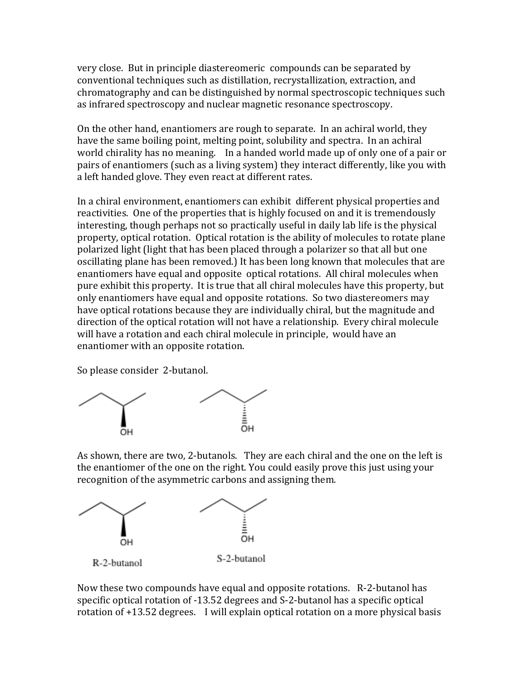very close. But in principle diastereomeric compounds can be separated by conventional techniques such as distillation, recrystallization, extraction, and chromatography and can be distinguished by normal spectroscopic techniques such as infrared spectroscopy and nuclear magnetic resonance spectroscopy.

On the other hand, enantiomers are rough to separate. In an achiral world, they have the same boiling point, melting point, solubility and spectra. In an achiral world chirality has no meaning. In a handed world made up of only one of a pair or pairs of enantiomers (such as a living system) they interact differently, like you with a left handed glove. They even react at different rates.

In a chiral environment, enantiomers can exhibit different physical properties and reactivities. One of the properties that is highly focused on and it is tremendously interesting, though perhaps not so practically useful in daily lab life is the physical property, optical rotation. Optical rotation is the ability of molecules to rotate plane polarized light (light that has been placed through a polarizer so that all but one oscillating plane has been removed.) It has been long known that molecules that are enantiomers have equal and opposite optical rotations. All chiral molecules when pure exhibit this property. It is true that all chiral molecules have this property, but only enantiomers have equal and opposite rotations. So two diastereomers may have optical rotations because they are individually chiral, but the magnitude and direction of the optical rotation will not have a relationship. Every chiral molecule will have a rotation and each chiral molecule in principle, would have an enantiomer with an opposite rotation.

So please consider 2-butanol.



As shown, there are two, 2-butanols. They are each chiral and the one on the left is the enantiomer of the one on the right. You could easily prove this just using your recognition of the asymmetric carbons and assigning them.



Now these two compounds have equal and opposite rotations. R-2-butanol has specific optical rotation of -13.52 degrees and S-2-butanol has a specific optical rotation of +13.52 degrees. I will explain optical rotation on a more physical basis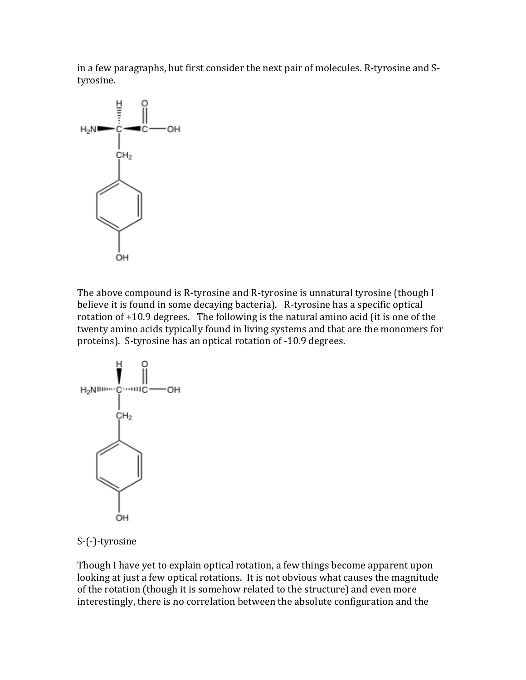in a few paragraphs, but first consider the next pair of molecules. R-tyrosine and Styrosine.



The above compound is R-tyrosine and R-tyrosine is unnatural tyrosine (though I believe it is found in some decaying bacteria). R-tyrosine has a specific optical rotation of +10.9 degrees. The following is the natural amino acid (it is one of the twenty amino acids typically found in living systems and that are the monomers for proteins). S-tyrosine has an optical rotation of -10.9 degrees.



S-(-)-tyrosine

Though I have yet to explain optical rotation, a few things become apparent upon looking at just a few optical rotations. It is not obvious what causes the magnitude of the rotation (though it is somehow related to the structure) and even more interestingly, there is no correlation between the absolute configuration and the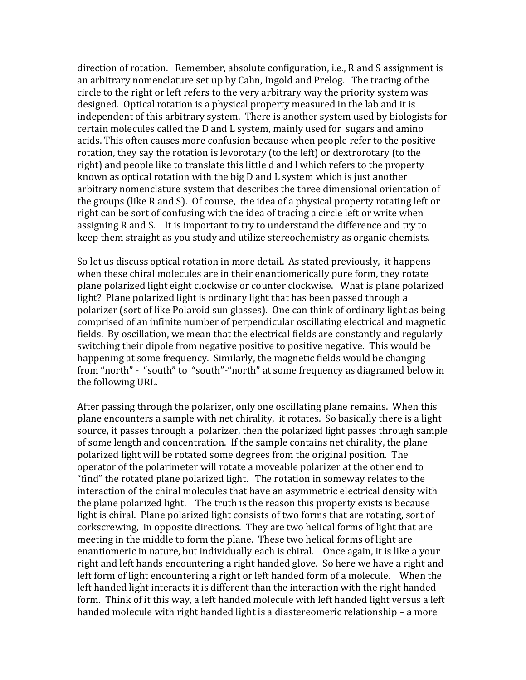direction of rotation. Remember, absolute configuration, i.e., R and S assignment is an arbitrary nomenclature set up by Cahn, Ingold and Prelog. The tracing of the circle to the right or left refers to the very arbitrary way the priority system was designed. Optical rotation is a physical property measured in the lab and it is independent of this arbitrary system. There is another system used by biologists for certain molecules called the D and L system, mainly used for sugars and amino acids. This often causes more confusion because when people refer to the positive rotation, they say the rotation is levorotary (to the left) or dextrorotary (to the right) and people like to translate this little d and l which refers to the property known as optical rotation with the big D and L system which is just another arbitrary nomenclature system that describes the three dimensional orientation of the groups (like R and S). Of course, the idea of a physical property rotating left or right can be sort of confusing with the idea of tracing a circle left or write when assigning R and S. It is important to try to understand the difference and try to keep them straight as you study and utilize stereochemistry as organic chemists.

So let us discuss optical rotation in more detail. As stated previously, it happens when these chiral molecules are in their enantiomerically pure form, they rotate plane polarized light eight clockwise or counter clockwise. What is plane polarized light? Plane polarized light is ordinary light that has been passed through a polarizer (sort of like Polaroid sun glasses). One can think of ordinary light as being comprised of an infinite number of perpendicular oscillating electrical and magnetic fields. By oscillation, we mean that the electrical fields are constantly and regularly switching their dipole from negative positive to positive negative. This would be happening at some frequency. Similarly, the magnetic fields would be changing from "north" - "south" to "south"-"north" at some frequency as diagramed below in the following URL.

After passing through the polarizer, only one oscillating plane remains. When this plane encounters a sample with net chirality, it rotates. So basically there is a light source, it passes through a polarizer, then the polarized light passes through sample of some length and concentration. If the sample contains net chirality, the plane polarized light will be rotated some degrees from the original position. The operator of the polarimeter will rotate a moveable polarizer at the other end to "find" the rotated plane polarized light. The rotation in someway relates to the interaction of the chiral molecules that have an asymmetric electrical density with the plane polarized light. The truth is the reason this property exists is because light is chiral. Plane polarized light consists of two forms that are rotating, sort of corkscrewing, in opposite directions. They are two helical forms of light that are meeting in the middle to form the plane. These two helical forms of light are enantiomeric in nature, but individually each is chiral. Once again, it is like a your right and left hands encountering a right handed glove. So here we have a right and left form of light encountering a right or left handed form of a molecule. When the left handed light interacts it is different than the interaction with the right handed form. Think of it this way, a left handed molecule with left handed light versus a left handed molecule with right handed light is a diastereomeric relationship – a more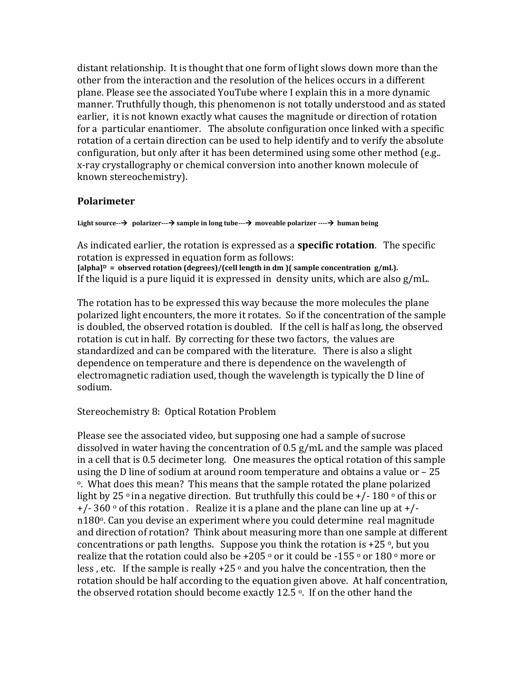distant relationship. It is thought that one form of light slows down more than the other from the interaction and the resolution of the helices occurs in a different plane. Please see the associated YouTube where I explain this in a more dynamic manner. Truthfully though, this phenomenon is not totally understood and as stated earlier, it is not known exactly what causes the magnitude or direction of rotation for a particular enantiomer. The absolute configuration once linked with a specific rotation of a certain direction can be used to help identify and to verify the absolute configuration, but only after it has been determined using some other method (e.g.. x-ray crystallography or chemical conversion into another known molecule of known stereochemistry).

#### **Polarimeter**

**Light source-- polarizer--- sample in long tube--- moveable polarizer ---- human being**

As indicated earlier, the rotation is expressed as a **specific rotation**. The specific rotation is expressed in equation form as follows: **[alpha]D = observed rotation (degrees)/(cell length in dm )( sample concentration g/mL).** If the liquid is a pure liquid it is expressed in density units, which are also g/mL.

The rotation has to be expressed this way because the more molecules the plane polarized light encounters, the more it rotates. So if the concentration of the sample is doubled, the observed rotation is doubled. If the cell is half as long, the observed rotation is cut in half. By correcting for these two factors, the values are standardized and can be compared with the literature. There is also a slight dependence on temperature and there is dependence on the wavelength of electromagnetic radiation used, though the wavelength is typically the D line of sodium.

# Stereochemistry 8: Optical Rotation Problem

Please see the associated video, but supposing one had a sample of sucrose dissolved in water having the concentration of 0.5 g/mL and the sample was placed in a cell that is 0.5 decimeter long. One measures the optical rotation of this sample using the D line of sodium at around room temperature and obtains a value or – 25 <sup>o</sup>. What does this mean? This means that the sample rotated the plane polarized light by 25  $\degree$  in a negative direction. But truthfully this could be +/- 180  $\degree$  of this or  $+/- 360$  ° of this rotation. Realize it is a plane and the plane can line up at  $+/$ n180<sup>o</sup>. Can you devise an experiment where you could determine real magnitude and direction of rotation? Think about measuring more than one sample at different concentrations or path lengths. Suppose you think the rotation is  $+25$ <sup>o</sup>, but you realize that the rotation could also be +205  $\circ$  or it could be -155  $\circ$  or 180  $\circ$  more or less, etc. If the sample is really  $+25$   $\circ$  and you halve the concentration, then the rotation should be half according to the equation given above. At half concentration, the observed rotation should become exactly 12.5 $\degree$ . If on the other hand the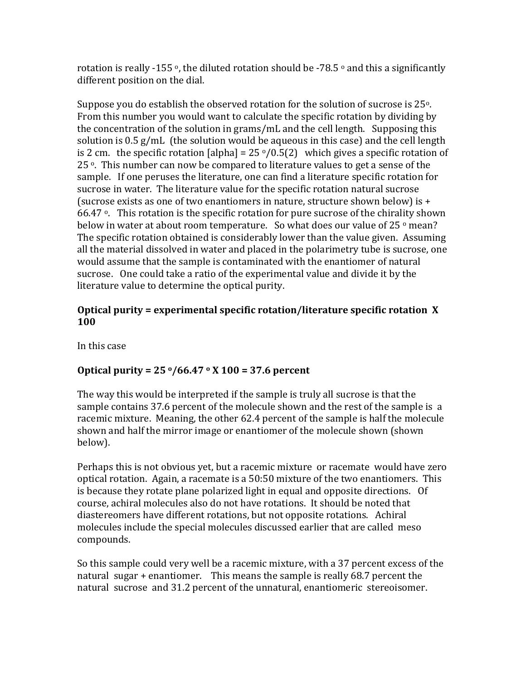rotation is really -155 °, the diluted rotation should be -78.5 ° and this a significantly different position on the dial.

Suppose you do establish the observed rotation for the solution of sucrose is  $25^{\circ}$ . From this number you would want to calculate the specific rotation by dividing by the concentration of the solution in grams/mL and the cell length. Supposing this solution is  $0.5$  g/mL (the solution would be aqueous in this case) and the cell length is 2 cm. the specific rotation [alpha] =  $25 \frac{\text{o}}{0.5(2)}$  which gives a specific rotation of 25<sup>o</sup>. This number can now be compared to literature values to get a sense of the sample. If one peruses the literature, one can find a literature specific rotation for sucrose in water. The literature value for the specific rotation natural sucrose (sucrose exists as one of two enantiomers in nature, structure shown below) is  $+$ 66.47 $\degree$ . This rotation is the specific rotation for pure sucrose of the chirality shown below in water at about room temperature. So what does our value of 25 $\degree$  mean? The specific rotation obtained is considerably lower than the value given. Assuming all the material dissolved in water and placed in the polarimetry tube is sucrose, one would assume that the sample is contaminated with the enantiomer of natural sucrose. One could take a ratio of the experimental value and divide it by the literature value to determine the optical purity.

# **Optical purity = experimental specific rotation/literature specific rotation X 100**

In this case

# **Optical purity = 25 o/66.47 <sup>o</sup> X 100 = 37.6 percent**

The way this would be interpreted if the sample is truly all sucrose is that the sample contains 37.6 percent of the molecule shown and the rest of the sample is a racemic mixture. Meaning, the other 62.4 percent of the sample is half the molecule shown and half the mirror image or enantiomer of the molecule shown (shown below).

Perhaps this is not obvious yet, but a racemic mixture or racemate would have zero optical rotation. Again, a racemate is a 50:50 mixture of the two enantiomers. This is because they rotate plane polarized light in equal and opposite directions. Of course, achiral molecules also do not have rotations. It should be noted that diastereomers have different rotations, but not opposite rotations. Achiral molecules include the special molecules discussed earlier that are called meso compounds.

So this sample could very well be a racemic mixture, with a 37 percent excess of the natural sugar + enantiomer. This means the sample is really 68.7 percent the natural sucrose and 31.2 percent of the unnatural, enantiomeric stereoisomer.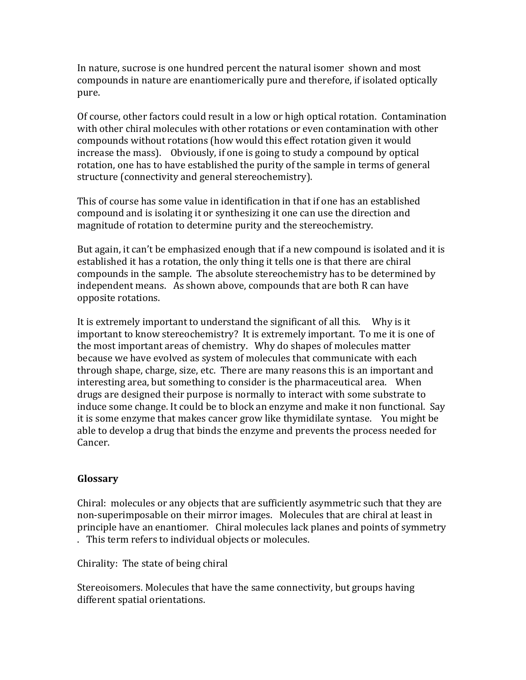In nature, sucrose is one hundred percent the natural isomer shown and most compounds in nature are enantiomerically pure and therefore, if isolated optically pure.

Of course, other factors could result in a low or high optical rotation. Contamination with other chiral molecules with other rotations or even contamination with other compounds without rotations (how would this effect rotation given it would increase the mass). Obviously, if one is going to study a compound by optical rotation, one has to have established the purity of the sample in terms of general structure (connectivity and general stereochemistry).

This of course has some value in identification in that if one has an established compound and is isolating it or synthesizing it one can use the direction and magnitude of rotation to determine purity and the stereochemistry.

But again, it can't be emphasized enough that if a new compound is isolated and it is established it has a rotation, the only thing it tells one is that there are chiral compounds in the sample. The absolute stereochemistry has to be determined by independent means. As shown above, compounds that are both R can have opposite rotations.

It is extremely important to understand the significant of all this. Why is it important to know stereochemistry? It is extremely important. To me it is one of the most important areas of chemistry. Why do shapes of molecules matter because we have evolved as system of molecules that communicate with each through shape, charge, size, etc. There are many reasons this is an important and interesting area, but something to consider is the pharmaceutical area. When drugs are designed their purpose is normally to interact with some substrate to induce some change. It could be to block an enzyme and make it non functional. Say it is some enzyme that makes cancer grow like thymidilate syntase. You might be able to develop a drug that binds the enzyme and prevents the process needed for Cancer.

# **Glossary**

Chiral: molecules or any objects that are sufficiently asymmetric such that they are non-superimposable on their mirror images. Molecules that are chiral at least in principle have an enantiomer. Chiral molecules lack planes and points of symmetry . This term refers to individual objects or molecules.

Chirality: The state of being chiral

Stereoisomers. Molecules that have the same connectivity, but groups having different spatial orientations.